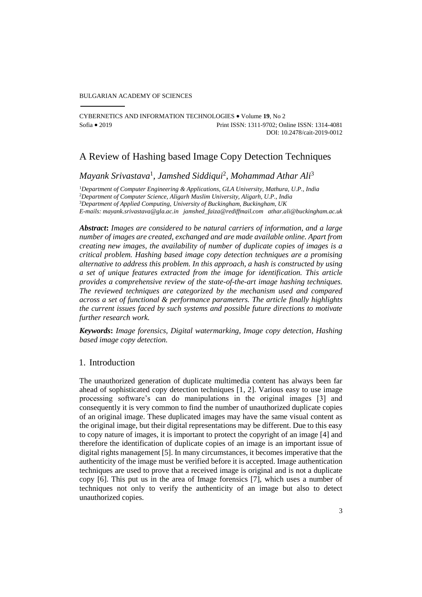#### BULGARIAN ACADEMY OF SCIENCES

CYBERNETICS AND INFORMATION TECHNOLOGIES Volume **19**, No 2 Sofia 2019 Print ISSN: 1311-9702; Online ISSN: 1314-4081 DOI: 10.2478/cait-2019-0012

# A Review of Hashing based Image Copy Detection Techniques

*Mayank Srivastava*<sup>1</sup> *, Jamshed Siddiqui*<sup>2</sup> *, Mohammad Athar Ali*<sup>3</sup>

*Department of Computer Engineering & Applications, GLA University, Mathura, U.P., India Department of Computer Science, Aligarh Muslim University, Aligarh, U.P., India Department of Applied Computing, University of Buckingham, Buckingham, UK E-mails[: mayank.srivastava@gla.ac.in](mailto:mayank.srivastava@gla.ac.in) [jamshed\\_faiza@rediffmail.com](mailto:jamshed_faiza@rediffmail.com) [athar.ali@buckingham.ac.uk](mailto:athar.ali@buckingham.ac.uk)*

*Abstract***:** *Images are considered to be natural carriers of information, and a large number of images are created, exchanged and are made available online. Apart from creating new images, the availability of number of duplicate copies of images is a critical problem. Hashing based image copy detection techniques are a promising alternative to address this problem. In this approach, a hash is constructed by using a set of unique features extracted from the image for identification. This article provides a comprehensive review of the state-of-the-art image hashing techniques. The reviewed techniques are categorized by the mechanism used and compared across a set of functional & performance parameters. The article finally highlights the current issues faced by such systems and possible future directions to motivate further research work.*

*Keywords***:** *Image forensics, Digital watermarking, Image copy detection, Hashing based image copy detection.*

## 1. Introduction

The unauthorized generation of duplicate multimedia content has always been far ahead of sophisticated copy detection techniques [1, 2]. Various easy to use image processing software's can do manipulations in the original images [3] and consequently it is very common to find the number of unauthorized duplicate copies of an original image. These duplicated images may have the same visual content as the original image, but their digital representations may be different. Due to this easy to copy nature of images, it is important to protect the copyright of an image [4] and therefore the identification of duplicate copies of an image is an important issue of digital rights management [5]. In many circumstances, it becomes imperative that the authenticity of the image must be verified before it is accepted. Image authentication techniques are used to prove that a received image is original and is not a duplicate copy [6]. This put us in the area of Image forensics [7], which uses a number of techniques not only to verify the authenticity of an image but also to detect unauthorized copies.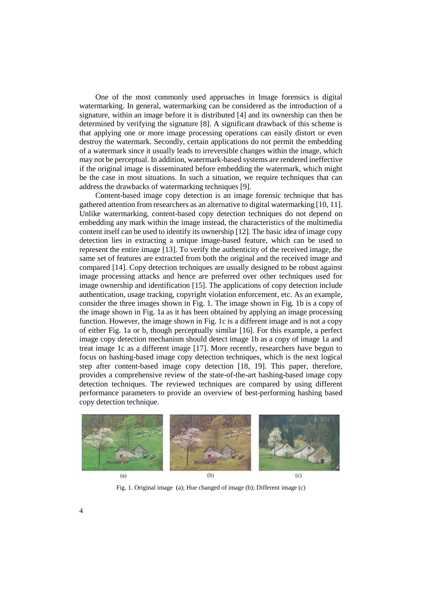One of the most commonly used approaches in Image forensics is digital watermarking. In general, watermarking can be considered as the introduction of a signature, within an image before it is distributed [4] and its ownership can then be determined by verifying the signature [8]. A significant drawback of this scheme is that applying one or more image processing operations can easily distort or even destroy the watermark. Secondly, certain applications do not permit the embedding of a watermark since it usually leads to irreversible changes within the image, which may not be perceptual. In addition, watermark-based systems are rendered ineffective if the original image is disseminated before embedding the watermark, which might be the case in most situations. In such a situation, we require techniques that can address the drawbacks of watermarking techniques [9].

Content-based image copy detection is an image forensic technique that has gathered attention from researchers as an alternative to digital watermarking [10, 11]. Unlike watermarking, content-based copy detection techniques do not depend on embedding any mark within the image instead, the characteristics of the multimedia content itself can be used to identify its ownership [12]. The basic idea of image copy detection lies in extracting a unique image-based feature, which can be used to represent the entire image [13]. To verify the authenticity of the received image, the same set of features are extracted from both the original and the received image and compared [14]. Copy detection techniques are usually designed to be robust against image processing attacks and hence are preferred over other techniques used for image ownership and identification [15]. The applications of copy detection include authentication, usage tracking, copyright violation enforcement, etc. As an example, consider the three images shown in Fig. 1. The image shown in Fig. 1b is a copy of the image shown in Fig. 1a as it has been obtained by applying an image processing function. However, the image shown in Fig. 1c is a different image and is not a copy of either Fig. 1a or b, though perceptually similar [16]. For this example, a perfect image copy detection mechanism should detect image 1b as a copy of image 1a and treat image 1c as a different image [17]. More recently, researchers have begun to focus on hashing-based image copy detection techniques, which is the next logical step after content-based image copy detection [18, 19]. This paper, therefore, provides a comprehensive review of the state-of-the-art hashing-based image copy detection techniques. The reviewed techniques are compared by using different performance parameters to provide an overview of best-performing hashing based copy detection technique.



Fig. 1. Original image (a); Hue changed of image (b); Different image (c)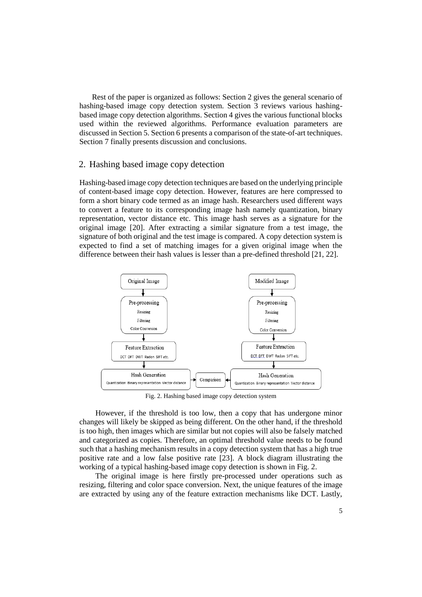Rest of the paper is organized as follows: Section 2 gives the general scenario of hashing-based image copy detection system. Section 3 reviews various hashingbased image copy detection algorithms. Section 4 gives the various functional blocks used within the reviewed algorithms. Performance evaluation parameters are discussed in Section 5. Section 6 presents a comparison of the state-of-art techniques. Section 7 finally presents discussion and conclusions.

### 2. Hashing based image copy detection

Hashing-based image copy detection techniques are based on the underlying principle of content-based image copy detection. However, features are here compressed to form a short binary code termed as an image hash. Researchers used different ways to convert a feature to its corresponding image hash namely quantization, binary representation, vector distance etc. This image hash serves as a signature for the original image [20]. After extracting a similar signature from a test image, the signature of both original and the test image is compared. A copy detection system is expected to find a set of matching images for a given original image when the difference between their hash values is lesser than a pre-defined threshold [21, 22].



Fig. 2. Hashing based image copy detection system

However, if the threshold is too low, then a copy that has undergone minor changes will likely be skipped as being different. On the other hand, if the threshold is too high, then images which are similar but not copies will also be falsely matched and categorized as copies. Therefore, an optimal threshold value needs to be found such that a hashing mechanism results in a copy detection system that has a high true positive rate and a low false positive rate [23]. A block diagram illustrating the working of a typical hashing-based image copy detection is shown in Fig. 2.

The original image is here firstly pre-processed under operations such as resizing, filtering and color space conversion. Next, the unique features of the image are extracted by using any of the feature extraction mechanisms like DCT. Lastly,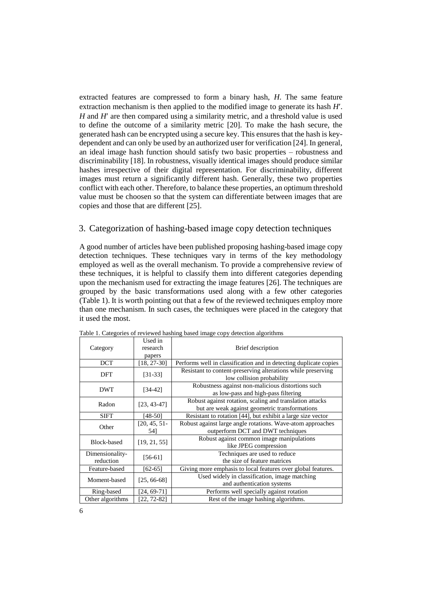extracted features are compressed to form a binary hash, *H*. The same feature extraction mechanism is then applied to the modified image to generate its hash *H*. *H* and *H'* are then compared using a similarity metric, and a threshold value is used to define the outcome of a similarity metric [20]. To make the hash secure, the generated hash can be encrypted using a secure key. This ensures that the hash is keydependent and can only be used by an authorized user for verification [24]. In general, an ideal image hash function should satisfy two basic properties – robustness and discriminability [18]. In robustness, visually identical images should produce similar hashes irrespective of their digital representation. For discriminability, different images must return a significantly different hash. Generally, these two properties conflict with each other. Therefore, to balance these properties, an optimum threshold value must be choosen so that the system can differentiate between images that are copies and those that are different [25].

# 3. Categorization of hashing-based image copy detection techniques

A good number of articles have been published proposing hashing-based image copy detection techniques. These techniques vary in terms of the key methodology employed as well as the overall mechanism. To provide a comprehensive review of these techniques, it is helpful to classify them into different categories depending upon the mechanism used for extracting the image features [26]. The techniques are grouped by the basic transformations used along with a few other categories (Table 1). It is worth pointing out that a few of the reviewed techniques employ more than one mechanism. In such cases, the techniques were placed in the category that it used the most.

| Category                     | Used in<br>research<br>papers | Brief description                                                                                          |  |  |  |  |  |
|------------------------------|-------------------------------|------------------------------------------------------------------------------------------------------------|--|--|--|--|--|
| <b>DCT</b>                   | $[18, 27-30]$                 | Performs well in classification and in detecting duplicate copies                                          |  |  |  |  |  |
| DFT                          | $[31-33]$                     | Resistant to content-preserving alterations while preserving<br>low collision probability                  |  |  |  |  |  |
| <b>DWT</b>                   | $[34-42]$                     | Robustness against non-malicious distortions such<br>as low-pass and high-pass filtering                   |  |  |  |  |  |
| Radon                        | $[23, 43-47]$                 | Robust against rotation, scaling and translation attacks<br>but are weak against geometric transformations |  |  |  |  |  |
| <b>SIFT</b>                  | [48-50]                       | Resistant to rotation [44], but exhibit a large size vector                                                |  |  |  |  |  |
| Other                        | [20, 45, 51]<br>54]           | Robust against large angle rotations. Wave-atom approaches<br>outperform DCT and DWT techniques            |  |  |  |  |  |
| Block-based                  | [19, 21, 55]                  | Robust against common image manipulations<br>like JPEG compression                                         |  |  |  |  |  |
| Dimensionality-<br>reduction | $[56-61]$                     | Techniques are used to reduce<br>the size of feature matrices                                              |  |  |  |  |  |
| Feature-based                | $[62-65]$                     | Giving more emphasis to local features over global features.                                               |  |  |  |  |  |
| Moment-based                 | $[25, 66-68]$                 | Used widely in classification, image matching<br>and authentication systems                                |  |  |  |  |  |
| Ring-based                   | $[24, 69-71]$                 | Performs well specially against rotation                                                                   |  |  |  |  |  |
| Other algorithms             | $[22, 72-82]$                 | Rest of the image hashing algorithms.                                                                      |  |  |  |  |  |

Table 1. Categories of reviewed hashing based image copy detection algorithms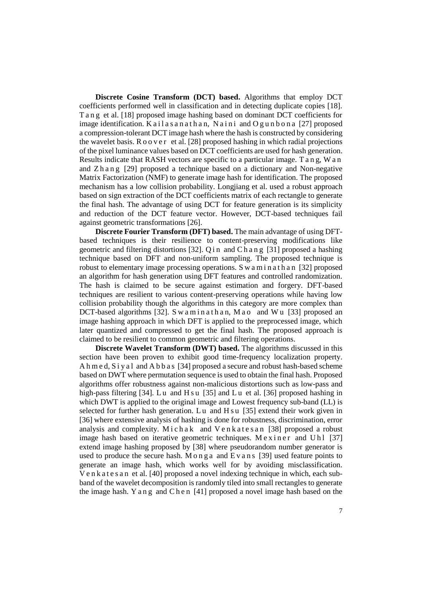**Discrete Cosine Transform (DCT) based.** Algorithms that employ DCT coefficients performed well in classification and in detecting duplicate copies [18]. T a n g et al. [18] proposed image hashing based on dominant DCT coefficients for image identification. K a i l a s a n a t h a n, N a i n i and  $O$  g u n b o n a [27] proposed a compression-tolerant DCT image hash where the hash is constructed by considering the wavelet basis.  $R \circ \text{o} \text{ver}$  et al. [28] proposed hashing in which radial projections of the pixel luminance values based on DCT coefficients are used for hash generation. Results indicate that RASH vectors are specific to a particular image. T a n g, Wan and Z h a n g [29] proposed a technique based on a dictionary and Non-negative Matrix Factorization (NMF) to generate image hash for identification. The proposed mechanism has a low collision probability. Longjiang et al. used a robust approach based on sign extraction of the DCT coefficients matrix of each rectangle to generate the final hash. The advantage of using DCT for feature generation is its simplicity and reduction of the DCT feature vector. However, DCT-based techniques fail against geometric transformations [26].

**Discrete Fourier Transform (DFT) based.** The main advantage of using DFTbased techniques is their resilience to content-preserving modifications like geometric and filtering distortions [32]. Q i n and C h a n g [31] proposed a hashing technique based on DFT and non-uniform sampling. The proposed technique is robust to elementary image processing operations. S w a m i n a t h a n [32] proposed an algorithm for hash generation using DFT features and controlled randomization. The hash is claimed to be secure against estimation and forgery. DFT-based techniques are resilient to various content-preserving operations while having low collision probability though the algorithms in this category are more complex than DCT-based algorithms [32]. Swaminathan, Mao and Wu [33] proposed an image hashing approach in which DFT is applied to the preprocessed image, which later quantized and compressed to get the final hash. The proposed approach is claimed to be resilient to common geometric and filtering operations.

**Discrete Wavelet Transform (DWT) based.** The algorithms discussed in this section have been proven to exhibit good time-frequency localization property. A h m e d, S i y a l and A b b a s [34] proposed a secure and robust hash-based scheme based on DWT where permutation sequence is used to obtain the final hash. Proposed algorithms offer robustness against non-malicious distortions such as low-pass and high-pass filtering  $[34]$ . Lu and H s u  $[35]$  and Lu et al.  $[36]$  proposed hashing in which DWT is applied to the original image and Lowest frequency sub-band (LL) is selected for further hash generation. L u and H s u [35] extend their work given in [36] where extensive analysis of hashing is done for robustness, discrimination, error analysis and complexity. Michak and Venkatesan [38] proposed a robust image hash based on iterative geometric techniques. Mexiner and Uh1 [37] extend image hashing proposed by [38] where pseudorandom number generator is used to produce the secure hash. M o n g a and  $E v a n s$  [39] used feature points to generate an image hash, which works well for by avoiding misclassification. V e n k a t e s a n et al. [40] proposed a novel indexing technique in which, each subband of the wavelet decomposition is randomly tiled into small rectangles to generate the image hash. Y a n g and C h e n [41] proposed a novel image hash based on the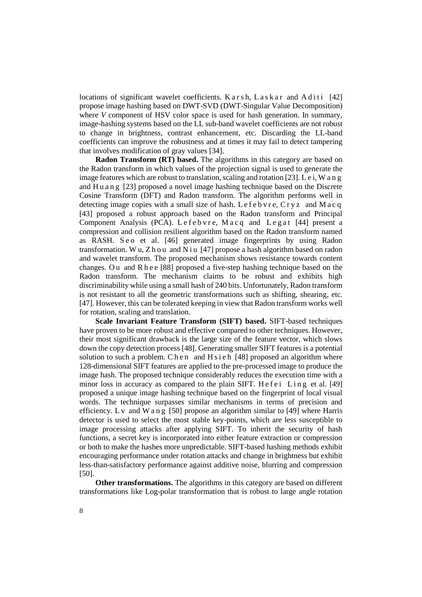locations of significant wavelet coefficients. K a r s h,  $L$  a s k a r and A d i t i [42] propose image hashing based on DWT-SVD (DWT-Singular Value Decomposition) where *V* component of HSV color space is used for hash generation. In summary, image-hashing systems based on the LL sub-band wavelet coefficients are not robust to change in brightness, contrast enhancement, etc. Discarding the LL-band coefficients can improve the robustness and at times it may fail to detect tampering that involves modification of gray values [34].

**Radon Transform (RT) based.** The algorithms in this category are based on the Radon transform in which values of the projection signal is used to generate the image features which are robust to translation, scaling and rotation [23]. L e i, W a n g and H u a n g [23] proposed a novel image hashing technique based on the Discrete Cosine Transform (DFT) and Radon transform. The algorithm performs well in detecting image copies with a small size of hash. Lefeb  $y \cdot r e$ , Cryz and Macq [43] proposed a robust approach based on the Radon transform and Principal Component Analysis (PCA). Lefebvre, Macq and Legat [44] present a compression and collision resilient algorithm based on the Radon transform named as RASH. Seo et al. [46] generated image fingerprints by using Radon transformation. Wu, Zh ou and N i u [47] propose a hash algorithm based on radon and wavelet transform. The proposed mechanism shows resistance towards content changes. Ou and R h e e [88] proposed a five-step hashing technique based on the Radon transform. The mechanism claims to be robust and exhibits high discriminability while using a small hash of 240 bits. Unfortunately, Radon transform is not resistant to all the geometric transformations such as shifting, shearing, etc*.* [47]. However, this can be tolerated keeping in view that Radon transform works well for rotation, scaling and translation.

**Scale Invariant Feature Transform (SIFT) based.** SIFT-based techniques have proven to be more robust and effective compared to other techniques. However, their most significant drawback is the large size of the feature vector, which slows down the copy detection process [48]. Generating smaller SIFT features is a potential solution to such a problem. C h e n and H s i e h [48] proposed an algorithm where 128-dimensional SIFT features are applied to the pre-processed image to produce the image hash. The proposed technique considerably reduces the execution time with a minor loss in accuracy as compared to the plain SIFT. He fei Ling et al. [49] proposed a unique image hashing technique based on the fingerprint of local visual words. The technique surpasses similar mechanisms in terms of precision and efficiency. L v and W a n g [50] propose an algorithm similar to [49] where Harris detector is used to select the most stable key-points, which are less susceptible to image processing attacks after applying SIFT. To inherit the security of hash functions, a secret key is incorporated into either feature extraction or compression or both to make the hashes more unpredictable. SIFT-based hashing methods exhibit encouraging performance under rotation attacks and change in brightness but exhibit less-than-satisfactory performance against additive noise, blurring and compression [50].

**Other transformations.** The algorithms in this category are based on different transformations like Log-polar transformation that is robust to large angle rotation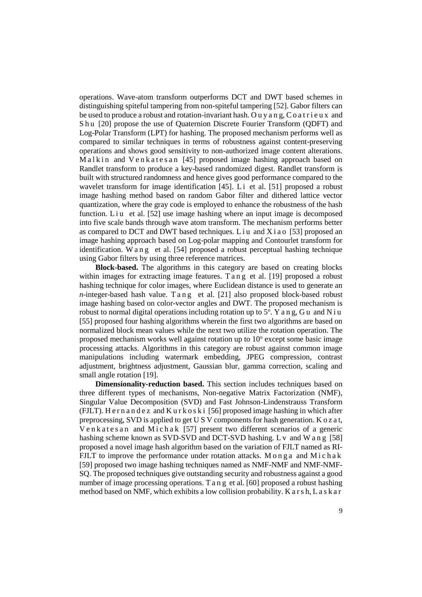operations. Wave-atom transform outperforms DCT and DWT based schemes in distinguishing spiteful tampering from non-spiteful tampering [52]. Gabor filters can be used to produce a robust and rotation-invariant hash. Ou y a n g,  $C$  o at r i e u x and S h u [20] propose the use of Quaternion Discrete Fourier Transform (QDFT) and Log-Polar Transform (LPT) for hashing. The proposed mechanism performs well as compared to similar techniques in terms of robustness against content-preserving operations and shows good sensitivity to non-authorized image content alterations. Malkin and Venkatesan [45] proposed image hashing approach based on Randlet transform to produce a key-based randomized digest. Randlet transform is built with structured randomness and hence gives good performance compared to the wavelet transform for image identification [45]. L i et al. [51] proposed a robust image hashing method based on random Gabor filter and dithered lattice vector quantization, where the gray code is employed to enhance the robustness of the hash function. L i u et al.  $[52]$  use image hashing where an input image is decomposed into five scale bands through wave atom transform. The mechanism performs better as compared to DCT and DWT based techniques. L i u and  $X$  i a o [53] proposed an image hashing approach based on Log-polar mapping and Contourlet transform for identification. W a n g et al. [54] proposed a robust perceptual hashing technique using Gabor filters by using three reference matrices.

**Block-based.** The algorithms in this category are based on creating blocks within images for extracting image features. T a n g et al. [19] proposed a robust hashing technique for color images, where Euclidean distance is used to generate an *n*-integer-based hash value. T a n g et al. [21] also proposed block-based robust image hashing based on color-vector angles and DWT. The proposed mechanism is robust to normal digital operations including rotation up to  $5^{\circ}$ . Y a n g, G u and N i u [55] proposed four hashing algorithms wherein the first two algorithms are based on normalized block mean values while the next two utilize the rotation operation. The proposed mechanism works well against rotation up to  $10^{\circ}$  except some basic image processing attacks. Algorithms in this category are robust against common image manipulations including watermark embedding, JPEG compression, contrast adjustment, brightness adjustment, Gaussian blur, gamma correction, scaling and small angle rotation [19].

**Dimensionality-reduction based.** This section includes techniques based on three different types of mechanisms, Non-negative Matrix Factorization (NMF), Singular Value Decomposition (SVD) and Fast Johnson-Lindenstrauss Transform (FJLT). H e r n a n d e z and K u r k o s k i [56] proposed image hashing in which after preprocessing, SVD is applied to get U S V components for hash generation. K o z a t, V e n k a t e s a n and M i c h a k  $[57]$  present two different scenarios of a generic hashing scheme known as SVD-SVD and DCT-SVD hashing. L v and W a n g [58] proposed a novel image hash algorithm based on the variation of FJLT named as RI-FJLT to improve the performance under rotation attacks. M o n g a and M i c h a k [59] proposed two image hashing techniques named as NMF-NMF and NMF-NMF-SQ. The proposed techniques give outstanding security and robustness against a good number of image processing operations. T a n g et al. [60] proposed a robust hashing method based on NMF, which exhibits a low collision probability. K a r s h, L a s k a r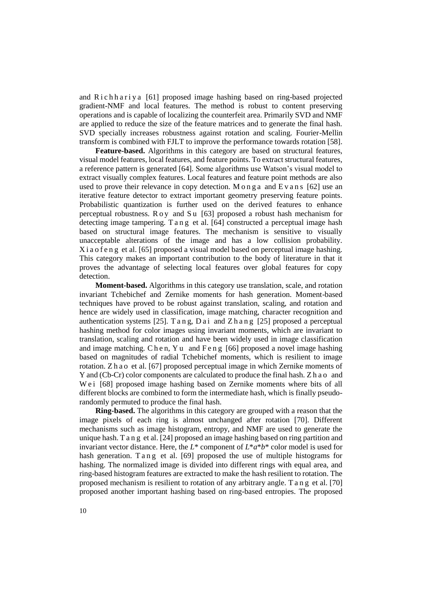and Richhariya [61] proposed image hashing based on ring-based projected gradient-NMF and local features. The method is robust to content preserving operations and is capable of localizing the counterfeit area. Primarily SVD and NMF are applied to reduce the size of the feature matrices and to generate the final hash. SVD specially increases robustness against rotation and scaling. Fourier-Mellin transform is combined with FJLT to improve the performance towards rotation [58].

**Feature-based.** Algorithms in this category are based on structural features, visual model features, local features, and feature points. To extract structural features, a reference pattern is generated [64]. Some algorithms use Watson's visual model to extract visually complex features. Local features and feature point methods are also used to prove their relevance in copy detection. M o n g a and  $E$  v a n s [62] use an iterative feature detector to extract important geometry preserving feature points. Probabilistic quantization is further used on the derived features to enhance perceptual robustness. R o y and S u [63] proposed a robust hash mechanism for detecting image tampering. T a n g et al. [64] constructed a perceptual image hash based on structural image features. The mechanism is sensitive to visually unacceptable alterations of the image and has a low collision probability. X i a o f e n g et al. [65] proposed a visual model based on perceptual image hashing. This category makes an important contribution to the body of literature in that it proves the advantage of selecting local features over global features for copy detection.

**Moment-based.** Algorithms in this category use translation, scale, and rotation invariant Tchebichef and Zernike moments for hash generation. Moment-based techniques have proved to be robust against translation, scaling, and rotation and hence are widely used in classification, image matching, character recognition and authentication systems [25]. T a n g, D a i and Z h a n g [25] proposed a perceptual hashing method for color images using invariant moments, which are invariant to translation, scaling and rotation and have been widely used in image classification and image matching. C h e n, Y u and F e n g  $[66]$  proposed a novel image hashing based on magnitudes of radial Tchebichef moments, which is resilient to image rotation. Z h a o et al. [67] proposed perceptual image in which Zernike moments of Y and (Cb-Cr) color components are calculated to produce the final hash. Z h a o and We i [68] proposed image hashing based on Zernike moments where bits of all different blocks are combined to form the intermediate hash, which is finally pseudorandomly permuted to produce the final hash.

**Ring-based.** The algorithms in this category are grouped with a reason that the image pixels of each ring is almost unchanged after rotation [70]. Different mechanisms such as image histogram, entropy, and NMF are used to generate the unique hash. T a n g et al. [24] proposed an image hashing based on ring partition and invariant vector distance. Here, the *L*\* component of *L*\**a*\**b*\* color model is used for hash generation. T a n g et al. [69] proposed the use of multiple histograms for hashing. The normalized image is divided into different rings with equal area, and ring-based histogram features are extracted to make the hash resilient to rotation. The proposed mechanism is resilient to rotation of any arbitrary angle. T a n g et al. [70] proposed another important hashing based on ring-based entropies. The proposed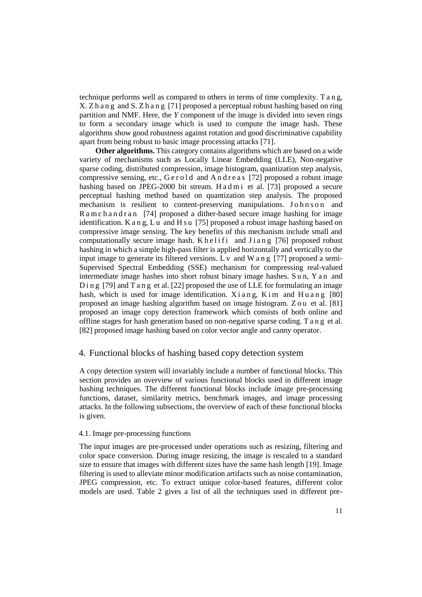technique performs well as compared to others in terms of time complexity. T a n g, X. Z h a n g and S. Z h a n g [71] proposed a perceptual robust hashing based on ring partition and NMF. Here, the *Y* component of the image is divided into seven rings to form a secondary image which is used to compute the image hash. These algorithms show good robustness against rotation and good discriminative capability apart from being robust to basic image processing attacks [71].

**Other algorithms.** This category contains algorithms which are based on a wide variety of mechanisms such as Locally Linear Embedding (LLE), Non-negative sparse coding, distributed compression, image histogram, quantization step analysis, compressive sensing, etc., Gerold and Andreas [72] proposed a robust image hashing based on JPEG-2000 bit stream. H a d m i et al. [73] proposed a secure perceptual hashing method based on quantization step analysis. The proposed mechanism is resilient to content-preserving manipulations. Johnson and R a m c h a n d r a n [74] proposed a dither-based secure image hashing for image identification. K a n g, L u and H s u [75] proposed a robust image hashing based on compressive image sensing. The key benefits of this mechanism include small and computationally secure image hash. K h e l i f i and  $J$  i a n g  $[76]$  proposed robust hashing in which a simple high-pass filter is applied horizontally and vertically to the input image to generate its filtered versions. L  $\mathbf v$  and  $\mathbf W$  a n g [77] proposed a semi-Supervised Spectral Embedding (SSE) mechanism for compressing real-valued intermediate image hashes into short robust binary image hashes. S u n, Y a n and D i n g  $[79]$  and T a n g et al.  $[22]$  proposed the use of LLE for formulating an image hash, which is used for image identification.  $X$  i a n g,  $K$  im and H u a n g  $[80]$ proposed an image hashing algorithm based on image histogram. Z o u et al. [81] proposed an image copy detection framework which consists of both online and offline stages for hash generation based on non-negative sparse coding. T a n g et al. [82] proposed image hashing based on color vector angle and canny operator.

# 4. Functional blocks of hashing based copy detection system

A copy detection system will invariably include a number of functional blocks. This section provides an overview of various functional blocks used in different image hashing techniques. The different functional blocks include image pre-processing functions, dataset, similarity metrics, benchmark images, and image processing attacks. In the following subsections, the overview of each of these functional blocks is given.

### 4.1. Image pre-processing functions

The input images are pre-processed under operations such as resizing, filtering and color space conversion. During image resizing, the image is rescaled to a standard size to ensure that images with different sizes have the same hash length [19]. Image filtering is used to alleviate minor modification artifacts such as noise contamination, JPEG compression, etc. To extract unique color-based features, different color models are used. Table 2 gives a list of all the techniques used in different pre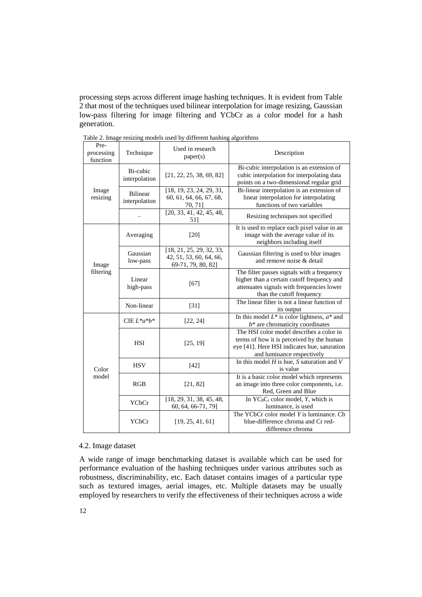processing steps across different image hashing techniques. It is evident from Table 2 that most of the techniques used bilinear interpolation for image resizing, Gaussian low-pass filtering for image filtering and YCbCr as a color model for a hash generation.

| Pre-<br>processing<br>function | Technique                        | Used in research<br>paper(s)                                              | Description                                                                                                                                                         |  |  |  |  |
|--------------------------------|----------------------------------|---------------------------------------------------------------------------|---------------------------------------------------------------------------------------------------------------------------------------------------------------------|--|--|--|--|
|                                | Bi-cubic<br>interpolation        | [21, 22, 25, 38, 69, 82]                                                  | Bi-cubic interpolation is an extension of<br>cubic interpolation for interpolating data<br>points on a two-dimensional regular grid                                 |  |  |  |  |
| Image<br>resizing              | <b>Bilinear</b><br>interpolation | [18, 19, 23, 24, 29, 31,<br>60, 61, 64, 66, 67, 68,<br>70, 71]            | Bi-linear interpolation is an extension of<br>linear interpolation for interpolating<br>functions of two variables                                                  |  |  |  |  |
|                                |                                  | [20, 33, 41, 42, 45, 48,<br>511                                           | Resizing techniques not specified                                                                                                                                   |  |  |  |  |
|                                | Averaging                        | $[20]$                                                                    | It is used to replace each pixel value in an<br>image with the average value of its<br>neighbors including itself                                                   |  |  |  |  |
| Image                          | Gaussian<br>low-pass             | [18, 21, 25, 29, 32, 33,<br>42, 51, 53, 60, 64, 66,<br>69-71, 79, 80, 82] | Gaussian filtering is used to blur images<br>and remove noise & detail                                                                                              |  |  |  |  |
| filtering                      | Linear<br>high-pass              | $[67]$                                                                    | The filter passes signals with a frequency<br>higher than a certain cutoff frequency and<br>attenuates signals with frequencies lower<br>than the cutoff frequency  |  |  |  |  |
|                                | Non-linear                       | $[31]$                                                                    | The linear filter is not a linear function of<br>its output                                                                                                         |  |  |  |  |
|                                | CIE $L^*a^*b^*$                  | [22, 24]                                                                  | In this model $L^*$ is color lightness, $a^*$ and<br>$b^*$ are chromaticity coordinates                                                                             |  |  |  |  |
|                                | <b>HSI</b>                       | [25, 19]                                                                  | The HSI color model describes a color in<br>terms of how it is perceived by the human<br>eye [41]. Here HSI indicates hue, saturation<br>and luminance respectively |  |  |  |  |
| Color                          | <b>HSV</b>                       | $[42]$                                                                    | In this model $H$ is hue, $S$ saturation and $V$<br>is value                                                                                                        |  |  |  |  |
| model                          | RGB                              | [21, 82]                                                                  | It is a basic color model which represents<br>an image into three color components, i.e.<br>Red, Green and Blue                                                     |  |  |  |  |
|                                | YCbCr                            | [18, 29, 31, 38, 45, 48,<br>60, 64, 66-71, 79]                            | In $YC_bC_r$ color model, Y, which is<br>luminance, is used                                                                                                         |  |  |  |  |
|                                | YCbCr                            | [19, 25, 41, 61]                                                          | The YCbCr color model $Y$ is luminance. Cb<br>blue-difference chroma and Cr red-<br>difference chroma                                                               |  |  |  |  |

Table 2. Image resizing models used by different hashing algorithms

### 4.2. Image dataset

A wide range of image benchmarking dataset is available which can be used for performance evaluation of the hashing techniques under various attributes such as robustness, discriminability, etc. Each dataset contains images of a particular type such as textured images, aerial images, etc. Multiple datasets may be usually employed by researchers to verify the effectiveness of their techniques across a wide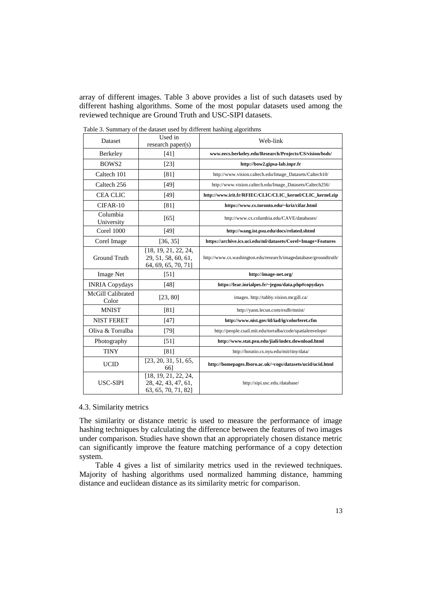array of different images. Table 3 above provides a list of such datasets used by different hashing algorithms. Some of the most popular datasets used among the reviewed technique are Ground Truth and USC-SIPI datasets.

| Dataset                    | Used in<br>research paper(s)                                       | Web-link                                                         |  |  |  |  |
|----------------------------|--------------------------------------------------------------------|------------------------------------------------------------------|--|--|--|--|
| Berkeley                   | $[41]$                                                             | www.eecs.berkeley.edu/Research/Projects/CS/vision/bsds/          |  |  |  |  |
| BOWS <sub>2</sub>          | $[23]$                                                             | http://bow2.gipsa-lab.inpr.fr                                    |  |  |  |  |
| Caltech 101                | [81]                                                               | http://www.vision.caltech.edu/Image_Datasets/Caltech10/          |  |  |  |  |
| Caltech 256                | [49]                                                               | http://www.vision.caltech.edu/Image_Datasets/Caltech256/         |  |  |  |  |
| <b>CEA CLIC</b>            | [49]                                                               | http://www.irit.fr/RFIEC/CLIC/CLIC_kernel/CLIC_kernel.zip        |  |  |  |  |
| CIFAR-10                   | [81]                                                               | https://www.cs.toronto.edu/~kriz/cifar.html                      |  |  |  |  |
| Columbia<br>University     | [65]                                                               | http://www.cs.columbia.edu/CAVE/databases/                       |  |  |  |  |
| Corel 1000                 | [49]                                                               | http://wang.ist.psu.edu/docs/related.shtml                       |  |  |  |  |
| Corel Image                | [36, 35]                                                           | https://archive.ics.uci.edu/ml/datasets/Corel+Image+Features     |  |  |  |  |
| Ground Truth               | [18, 19, 21, 22, 24,<br>29, 51, 58, 60, 61,<br>64, 69, 65, 70, 71] | http://www.cs.washington.edu/research/imagedatabase/groundtruth/ |  |  |  |  |
| <b>Image Net</b>           | $[51]$                                                             | http://image-net.org/                                            |  |  |  |  |
| <b>INRIA Copydays</b>      | [48]                                                               | https://lear.inrialpes.fr/~jegou/data.php#copydays               |  |  |  |  |
| McGill Calibrated<br>Color | [23, 80]                                                           | images. http://tabby.vision.mcgill.ca/                           |  |  |  |  |
| <b>MNIST</b>               | [81]                                                               | http://yann.lecun.com/exdb/mnist/                                |  |  |  |  |
| <b>NIST FERET</b>          | $[47]$                                                             | http://www.nist.gov/itl/iad/ig/colorferet.cfm                    |  |  |  |  |
| Oliva & Torralba           | $[79]$                                                             | http://people.csail.mit.edu/torralba/code/spatialenvelope/       |  |  |  |  |
| Photography                | [51]                                                               | http://www.stat.psu.edu/jiali/index.download.html                |  |  |  |  |
| <b>TINY</b>                | [81]                                                               | http://horatio.cs.nyu.edu/mit/tiny/data/                         |  |  |  |  |
| <b>UCID</b>                | [23, 20, 31, 51, 65,<br>661                                        | http://homepages.lboro.ac.uk/~cogs/datasets/ucid/ucid.html       |  |  |  |  |
| USC-SIPI                   | [18, 19, 21, 22, 24,<br>28, 42, 43, 47, 61,<br>63, 65, 70, 71, 82] | http://sipi.usc.edu./database/                                   |  |  |  |  |

Table 3. Summary of the dataset used by different hashing algorithms

### 4.3. Similarity metrics

The similarity or distance metric is used to measure the performance of image hashing techniques by calculating the difference between the features of two images under comparison. Studies have shown that an appropriately chosen distance metric can significantly improve the feature matching performance of a copy detection system.

Table 4 gives a list of similarity metrics used in the reviewed techniques. Majority of hashing algorithms used normalized hamming distance, hamming distance and euclidean distance as its similarity metric for comparison.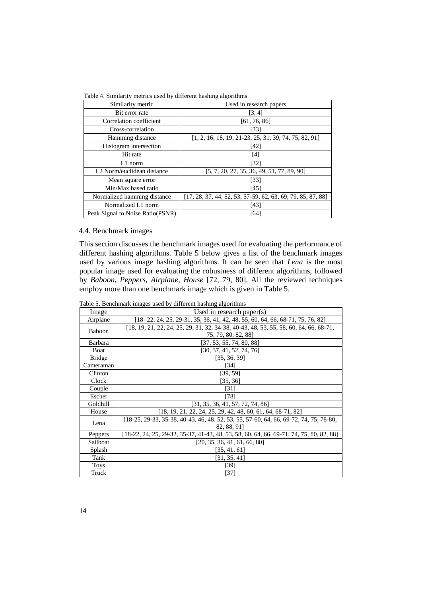| racio al commune modifico abour e y universita monting argoniumo |                                                               |  |  |  |  |  |
|------------------------------------------------------------------|---------------------------------------------------------------|--|--|--|--|--|
| Similarity metric                                                | Used in research papers                                       |  |  |  |  |  |
| Bit error rate                                                   | [3, 4]                                                        |  |  |  |  |  |
| Correlation coefficient                                          | [61, 76, 86]                                                  |  |  |  |  |  |
| Cross-correlation                                                | [33]                                                          |  |  |  |  |  |
| Hamming distance                                                 | $[1, 2, 16, 18, 19, 21-23, 25, 31, 39, 74, 75, 82, 91]$       |  |  |  |  |  |
| Histogram intersection                                           | [42]                                                          |  |  |  |  |  |
| Hit rate                                                         | [4]                                                           |  |  |  |  |  |
| $L1$ norm                                                        | [32]                                                          |  |  |  |  |  |
| L <sub>2</sub> Norm/euclidean distance                           | $[5, 7, 20, 27, 35, 36, 49, 51, 77, 89, 90]$                  |  |  |  |  |  |
| Mean square error                                                | [33]                                                          |  |  |  |  |  |
| Min/Max based ratio                                              | [45]                                                          |  |  |  |  |  |
| Normalized hamming distance                                      | $[17, 28, 37, 44, 52, 53, 57-59, 62, 63, 69, 79, 85, 87, 88]$ |  |  |  |  |  |
| Normalized L1 norm                                               | [43]                                                          |  |  |  |  |  |
| Peak Signal to Noise Ratio(PSNR)                                 | [64]                                                          |  |  |  |  |  |

Table 4. Similarity metrics used by different hashing algorithms

## 4.4. Benchmark images

This section discusses the benchmark images used for evaluating the performance of different hashing algorithms. Table 5 below gives a list of the benchmark images used by various image hashing algorithms. It can be seen that *Lena* is the most popular image used for evaluating the robustness of different algorithms, followed by *Baboon, Peppers, Airplane, House* [72, 79, 80]. All the reviewed techniques employ more than one benchmark image which is given in Table 5.

Table 5. Benchmark images used by different hashing algorithms

|               | $\sim$ Deneminary ming to about $\sigma$ , university magnitude arguments               |
|---------------|-----------------------------------------------------------------------------------------|
| Image         | Used in research paper(s)                                                               |
| Airplane      | $[18-22, 24, 25, 29-31, 35, 36, 41, 42, 48, 55, 60, 64, 66, 68-71, 75, 76, 82]$         |
|               | $[18, 19, 21, 22, 24, 25, 29, 31, 32, 34-38, 40-43, 48, 53, 55, 58, 60, 64, 66, 68-71,$ |
| Baboon        | 75, 79, 80, 82, 88]                                                                     |
| Barbara       | [37, 53, 55, 74, 80, 88]                                                                |
| Boat          | [30, 37, 41, 52, 74, 76]                                                                |
| <b>Bridge</b> | [35, 36, 39]                                                                            |
| Cameraman     | $[34]$                                                                                  |
| Clinton       | [39, 59]                                                                                |
| Clock         | [35, 36]                                                                                |
| Couple        | [31]                                                                                    |
| Escher        | [78]                                                                                    |
| Goldhill      | [31, 35, 36, 41, 57, 72, 74, 86]                                                        |
| House         | $[18, 19, 21, 22, 24, 25, 29, 42, 48, 60, 61, 64, 68-71, 82]$                           |
| Lena          | [18-25, 29-33, 35-38, 40-43, 46, 48, 52, 53, 55, 57-60, 64, 66, 69-72, 74, 75, 78-80,   |
|               | 82, 88, 91                                                                              |
| Peppers       | [18-22, 24, 25, 29-32, 35-37, 41-43, 48, 53, 58, 60, 64, 66, 69-71, 74, 75, 80, 82, 88] |
| Sailboat      | [20, 35, 36, 41, 61, 66, 80]                                                            |
| Splash        | [35, 41, 61]                                                                            |
| Tank          | [31, 35, 41]                                                                            |
| <b>Toys</b>   | [39]                                                                                    |
| Truck         | $[37]$                                                                                  |
|               |                                                                                         |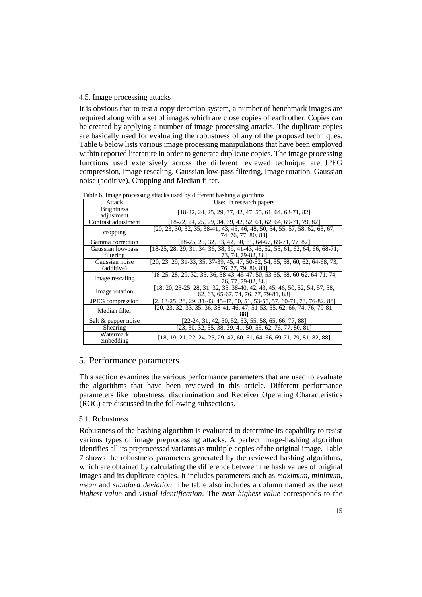## 4.5. Image processing attacks

It is obvious that to test a copy detection system, a number of benchmark images are required along with a set of images which are close copies of each other. Copies can be created by applying a number of image processing attacks. The duplicate copies are basically used for evaluating the robustness of any of the proposed techniques. Table 6 below lists various image processing manipulations that have been employed within reported literature in order to generate duplicate copies. The image processing functions used extensively across the different reviewed technique are JPEG compression, Image rescaling, Gaussian low-pass filtering, Image rotation, Gaussian noise (additive), Cropping and Median filter.

| Table 6. Image processing attacks used by different hasning algorithms |                                                                                                                     |  |  |  |  |  |  |  |
|------------------------------------------------------------------------|---------------------------------------------------------------------------------------------------------------------|--|--|--|--|--|--|--|
| Attack                                                                 | Used in research papers                                                                                             |  |  |  |  |  |  |  |
| <b>Brightness</b><br>adjustment                                        | [18-22, 24, 25, 29, 37, 42, 47, 55, 61, 64, 68-71, 82]                                                              |  |  |  |  |  |  |  |
| Contrast adjustment                                                    | [18-22, 24, 25, 29, 34, 39, 42, 52, 61, 62, 64, 69-71, 79, 82]                                                      |  |  |  |  |  |  |  |
| cropping                                                               | [20, 23, 30, 32, 35, 38-41, 43, 45, 46, 48, 50, 54, 55, 57, 58, 62, 63, 67,<br>74, 76, 77, 80, 88]                  |  |  |  |  |  |  |  |
| Gamma correction                                                       | [18-25, 29, 32, 33, 42, 50, 61, 64-67, 69-71, 77, 82]                                                               |  |  |  |  |  |  |  |
| Gaussian low-pass<br>filtering                                         | $[18-25, 28, 29, 31, 34, 36, 38, 39, 41-43, 46, 52, 55, 61, 62, 64, 66, 68-71,$<br>73, 74, 79-82, 88]               |  |  |  |  |  |  |  |
| Gaussian noise<br>(additive)                                           | [20, 23, 29, 31-33, 35, 37-39, 45, 47, 50-52, 54, 55, 58, 60, 62, 64-68, 73,<br>76, 77, 79, 80, 88]                 |  |  |  |  |  |  |  |
| Image rescaling                                                        | [18-25, 28, 29, 32, 35, 36, 38-43, 45-47, 50, 53-55, 58, 60-62, 64-71, 74,<br>76, 77, 79-82, 881                    |  |  |  |  |  |  |  |
| Image rotation                                                         | [18, 20, 23-25, 28, 31, 32, 35, 38-40, 42, 43, 45, 46, 50, 52, 54, 57, 58,<br>62, 63, 65-67, 74, 76, 77, 79-81, 88] |  |  |  |  |  |  |  |
| <b>JPEG</b> compression                                                | [2, 18-25, 28, 29, 31-43, 45-47, 50, 51, 53-55, 57, 60-71, 73, 76-82, 88]                                           |  |  |  |  |  |  |  |
| Median filter                                                          | $[20, 23, 32, 33, 35, 36, 38-41, 46, 47, 51-53, 55, 62, 66, 74, 76, 79-81,$                                         |  |  |  |  |  |  |  |
| Salt & pepper noise                                                    | [22-24, 31, 42, 50, 52, 53, 55, 58, 65, 66, 77, 88]                                                                 |  |  |  |  |  |  |  |
| Shearing                                                               | [23, 30, 32, 35, 38, 39, 41, 50, 55, 62, 76, 77, 80, 81]                                                            |  |  |  |  |  |  |  |
| Watermark<br>embedding                                                 | [18, 19, 21, 22, 24, 25, 29, 42, 60, 61, 64, 66, 69-71, 79, 81, 82, 88]                                             |  |  |  |  |  |  |  |

 $Table 6. Image processing attacks used by different hashing algorithms.$ 

## 5. Performance parameters

This section examines the various performance parameters that are used to evaluate the algorithms that have been reviewed in this article. Different performance parameters like robustness, discrimination and Receiver Operating Characteristics (ROC) are discussed in the following subsections.

#### 5.1. Robustness

Robustness of the hashing algorithm is evaluated to determine its capability to resist various types of image preprocessing attacks. A perfect image-hashing algorithm identifies all its preprocessed variants as multiple copies of the original image. Table 7 shows the robustness parameters generated by the reviewed hashing algorithms, which are obtained by calculating the difference between the hash values of original images and its duplicate copies. It includes parameters such as *maximum*, *minimum*, *mean* and *standard deviation*. The table also includes a column named as the *next highest value* and *visual identification*. The *next highest value* corresponds to the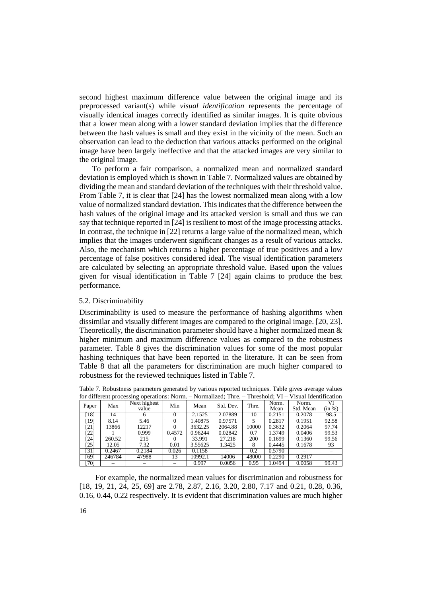second highest maximum difference value between the original image and its preprocessed variant(s) while *visual identification* represents the percentage of visually identical images correctly identified as similar images. It is quite obvious that a lower mean along with a lower standard deviation implies that the difference between the hash values is small and they exist in the vicinity of the mean. Such an observation can lead to the deduction that various attacks performed on the original image have been largely ineffective and that the attacked images are very similar to the original image.

To perform a fair comparison, a normalized mean and normalized standard deviation is employed which is shown in Table 7. Normalized values are obtained by dividing the mean and standard deviation of the techniques with their threshold value. From Table 7, it is clear that [24] has the lowest normalized mean along with a low value of normalized standard deviation. This indicates that the difference between the hash values of the original image and its attacked version is small and thus we can say that technique reported in [24] is resilient to most of the image processing attacks. In contrast, the technique in [22] returns a large value of the normalized mean, which implies that the images underwent significant changes as a result of various attacks. Also, the mechanism which returns a higher percentage of true positives and a low percentage of false positives considered ideal. The visual identification parameters are calculated by selecting an appropriate threshold value. Based upon the values given for visual identification in Table 7 [24] again claims to produce the best performance.

## 5.2. Discriminability

Discriminability is used to measure the performance of hashing algorithms when dissimilar and visually different images are compared to the original image. [20, 23]. Theoretically, the discrimination parameter should have a higher normalized mean  $\&$ higher minimum and maximum difference values as compared to the robustness parameter. Table 8 gives the discrimination values for some of the most popular hashing techniques that have been reported in the literature. It can be seen from Table 8 that all the parameters for discrimination are much higher compared to robustness for the reviewed techniques listed in Table 7.

|       |             |        | for unferent processing operations. From. |        |         | $110111011200$ . $11100$ . |       | 1111001101    | , isuai ruomineauon |              |  |
|-------|-------------|--------|-------------------------------------------|--------|---------|----------------------------|-------|---------------|---------------------|--------------|--|
| Paper |             | Max    | Next highest<br>value                     | Min    | Mean    | Std. Dev.                  | Thre. | Norm.<br>Mean | Norm.<br>Std. Mean  | VI<br>(in %) |  |
|       | [18]        | 14     |                                           |        | 2.1525  | 2.07889                    | 10    | 0.2151        | 0.2078              | 98.5         |  |
|       | 191         | 8.14   | 5.46                                      |        | .40875  | 0.97571                    |       | 0.2817        | 0.1951              | 92.58        |  |
|       | [21]        | 13866  | 12217                                     |        | 3632.25 | 2064.88                    | 10000 | 0.3632        | 0.2064              | 97.74        |  |
|       | [22]        |        | 0.999                                     | 0.4572 | 0.96244 | 0.02842                    | 0.7   | 1.3749        | 0.0406              | 99.53        |  |
|       | $\sqrt{24}$ | 260.52 | 215                                       |        | 33.991  | 27.218                     | 200   | 0.1699        | 0.1360              | 99.56        |  |
|       | [25]        | 12.05  | 7.32                                      | 0.01   | 3.55625 | 1.3425                     | 8     | 0.4445        | 0.1678              | 93           |  |
|       | [31]        | 0.2467 | 0.2184                                    | 0.026  | 0.1158  |                            | 0.2   | 0.5790        |                     |              |  |
|       | [69]        | 246784 | 47988                                     | 13     | 10992.1 | 14006                      | 48000 | 0.2290        | 0.2917              |              |  |
|       | [70]        |        |                                           |        | 0.997   | 0.0056                     | 0.95  | 1.0494        | 0.0058              | 99.43        |  |

Table 7. Robustness parameters generated by various reported techniques. Table gives average values for different processing operations: Norm. – Normalized: Thre. – Threshold: VI – Visual Identification

For example, the normalized mean values for discrimination and robustness for [18, 19, 21, 24, 25, 69] are 2.78, 2.87, 2.16, 3.20, 2.80, 7.17 and 0.21, 0.28, 0.36, 0.16, 0.44, 0.22 respectively. It is evident that discrimination values are much higher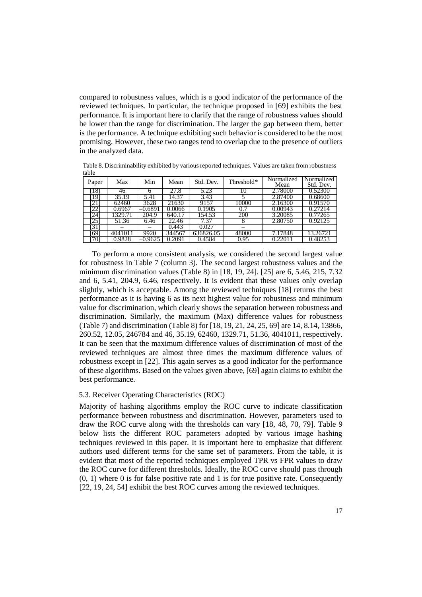compared to robustness values, which is a good indicator of the performance of the reviewed techniques. In particular, the technique proposed in [69] exhibits the best performance. It is important here to clarify that the range of robustness values should be lower than the range for discrimination. The larger the gap between them, better is the performance. A technique exhibiting such behavior is considered to be the most promising. However, these two ranges tend to overlap due to the presence of outliers in the analyzed data.

Table 8. Discriminability exhibited by various reported techniques. Values are taken from robustness table

| Paper       | Max     | Min       | Mean   | Std. Dev.         | Threshold* | Normalized<br>Mean | Normalized<br>Std. Dev. |
|-------------|---------|-----------|--------|-------------------|------------|--------------------|-------------------------|
| 18]         | 46      |           | 27.8   | 5.23              | 10         | 2.78000            | 0.52300                 |
| 191         | 35.19   | 5.41      | 14.37  | $3.\overline{43}$ |            | 2.87400            | 0.68600                 |
| -21         | 62460   | 3628      | 21630  | 9157              | 10000      | 2.16300            | 0.91570                 |
| $22 \times$ | 0.6967  | $-0.6891$ | 0.0066 | 0.1905            | 0.7        | 0.00943            | 0.27214                 |
| 24          | 1329.71 | 204.9     | 640.17 | 154.53            | 200        | 3.20085            | 0.77265                 |
| [25]        | 51.36   | 6.46      | 22.46  | 7.37              |            | 2.80750            | 0.92125                 |
| 31          |         |           | 0.443  | 0.027             |            |                    |                         |
| 691         | 4041011 | 9920      | 344567 | 636826.05         | 48000      | 7.17848            | 13.26721                |
| 70          | 0.9828  | 0.9625    | 2091   | 0.4584            | 0.95       |                    | 0.48253                 |

To perform a more consistent analysis, we considered the second largest value for robustness in Table 7 (column 3). The second largest robustness values and the minimum discrimination values (Table 8) in [18, 19, 24]. [25] are 6, 5.46, 215, 7.32 and 6, 5.41, 204.9, 6.46, respectively. It is evident that these values only overlap slightly, which is acceptable. Among the reviewed techniques [18] returns the best performance as it is having 6 as its next highest value for robustness and minimum value for discrimination, which clearly shows the separation between robustness and discrimination. Similarly, the maximum (Max) difference values for robustness (Table 7) and discrimination (Table 8) for [18, 19, 21, 24, 25, 69] are 14, 8.14, 13866, 260.52, 12.05, 246784 and 46, 35.19, 62460, 1329.71, 51.36, 4041011, respectively. It can be seen that the maximum difference values of discrimination of most of the reviewed techniques are almost three times the maximum difference values of robustness except in [22]. This again serves as a good indicator for the performance of these algorithms. Based on the values given above, [69] again claims to exhibit the best performance.

## 5.3. Receiver Operating Characteristics (ROC)

Majority of hashing algorithms employ the ROC curve to indicate classification performance between robustness and discrimination. However, parameters used to draw the ROC curve along with the thresholds can vary [18, 48, 70, 79]. Table 9 below lists the different ROC parameters adopted by various image hashing techniques reviewed in this paper. It is important here to emphasize that different authors used different terms for the same set of parameters. From the table, it is evident that most of the reported techniques employed TPR vs FPR values to draw the ROC curve for different thresholds. Ideally, the ROC curve should pass through  $(0, 1)$  where 0 is for false positive rate and 1 is for true positive rate. Consequently [22, 19, 24, 54] exhibit the best ROC curves among the reviewed techniques.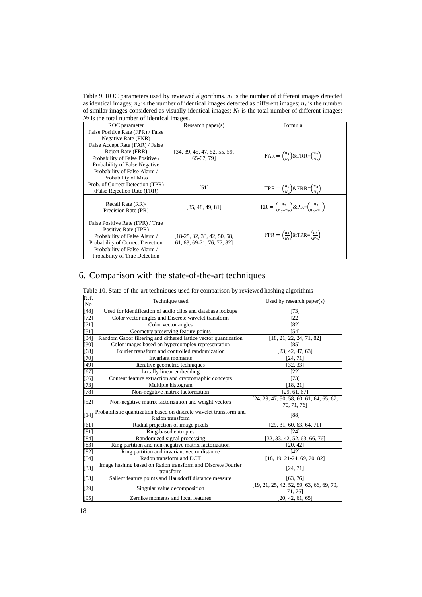Table 9. ROC parameters used by reviewed algorithms. *n*<sup>1</sup> is the number of different images detected as identical images;  $n_2$  is the number of identical images detected as different images;  $n_3$  is the number of similar images considered as visually identical images; *N*<sup>1</sup> is the total number of different images;  $N_2$  is the total number of identical images.

| ROC parameter                                                                                                                                                                                                                               | Research paper(s)                                         | Formula                                                                          |
|---------------------------------------------------------------------------------------------------------------------------------------------------------------------------------------------------------------------------------------------|-----------------------------------------------------------|----------------------------------------------------------------------------------|
| False Positive Rate (FPR) / False<br>Negative Rate (FNR)<br>False Accept Rate (FAR) / False<br>Reject Rate (FRR)<br>Probability of False Positive /<br>Probability of False Negative<br>Probability of False Alarm /<br>Probability of Miss | [34, 39, 45, 47, 52, 55, 59,<br>65-67, 791                | $FAR = \left(\frac{n_1}{N_2}\right)$ &FRR= $\left(\frac{n_2}{N_2}\right)$        |
| Prob. of Correct Detection (TPR)<br>/False Rejection Rate (FRR)                                                                                                                                                                             | $[51]$                                                    | TPR = $\binom{n_3}{N_1}$ & FRR = $\binom{n_2}{N_1}$                              |
| Recall Rate (RR)/<br>Precision Rate (PR)                                                                                                                                                                                                    | [35, 48, 49, 81]                                          | $RR = \left(\frac{n_3}{n_2+n_1}\right)$ & PR= $\left(\frac{n_3}{n_2+n_1}\right)$ |
| False Positive Rate (FPR) / True<br>Positive Rate (TPR)<br>Probability of False Alarm /<br>Probability of Correct Detection<br>Probability of False Alarm /<br>Probability of True Detection                                                | [18-25, 32, 33, 42, 50, 58,<br>61, 63, 69-71, 76, 77, 821 | $FPR = \left(\frac{n_1}{N_2}\right) \& TPR = \left(\frac{n_3}{N_2}\right)$       |

# 6. Comparison with the state-of-the-art techniques

|  |  |  | Table 10. State-of-the-art techniques used for comparison by reviewed hashing algorithms |
|--|--|--|------------------------------------------------------------------------------------------|
|  |  |  |                                                                                          |

| Ref.<br>No        | Technique used                                                                        | Used by research paper $(s)$                              |
|-------------------|---------------------------------------------------------------------------------------|-----------------------------------------------------------|
| [48]              | Used for identification of audio clips and database lookups                           | [73]                                                      |
| $[72]$            | Color vector angles and Discrete wavelet transform                                    | [22]                                                      |
| $[71]$            | Color vector angles                                                                   | 1821                                                      |
| $\overline{[51]}$ | Geometry preserving feature points                                                    | [54]                                                      |
| $[34]$            | Random Gabor filtering and dithered lattice vector quantization                       | 18, 21, 22, 24, 71, 82]                                   |
| $[30]$            | Color images based on hypercomplex representation                                     | [85]                                                      |
| 68]               | Fourier transform and controlled randomization                                        | [23, 42, 47, 63]                                          |
| $[70]$            | Invariant moments                                                                     | [24, 71]                                                  |
| $[49]$            | Iterative geometric techniques                                                        | [32, 33]                                                  |
| [67]              | Locally linear embedding                                                              | [22]                                                      |
| [66]              | Content feature extraction and cryptographic concepts                                 | [73]                                                      |
| 73]               | Multiple histogram                                                                    | [18, 21]                                                  |
| [78]              | Non-negative matrix factorization                                                     | [29, 61, 67]                                              |
| $[52]$            | Non-negative matrix factorization and weight vectors                                  | $[24, 29, 47, 50, 58, 60, 61, 64, 65, 67,$<br>70, 71, 76] |
| $[14]$            | Probabilistic quantization based on discrete wavelet transform and<br>Radon transform | [88]                                                      |
| [61]              | Radial projection of image pixels                                                     | [29, 31, 60, 63, 64, 71]                                  |
| [81]              | Ring-based entropies                                                                  | [24]                                                      |
| $[84]$            | Randomized signal processing                                                          | [32, 33, 42, 52, 63, 66, 76]                              |
| $[83]$            | Ring partition and non-negative matrix factorization                                  | [20, 42]                                                  |
| [82]              | Ring partition and invariant vector distance                                          | [42]                                                      |
| $[54]$            | Radon transform and DCT                                                               | $\overline{[18, 19, 21-24, 69, 70, 82]}$                  |
| $[33]$            | Image hashing based on Radon transform and Discrete Fourier<br>transform              | [24, 71]                                                  |
| $[53]$            | Salient feature points and Hausdorff distance measure                                 | [63, 76]                                                  |
| $[29]$            | Singular value decomposition                                                          | [19, 21, 25, 42, 52, 59, 63, 66, 69, 70,<br>71, 76]       |
| [95]              | Zernike moments and local features                                                    | [20, 42, 61, 65]                                          |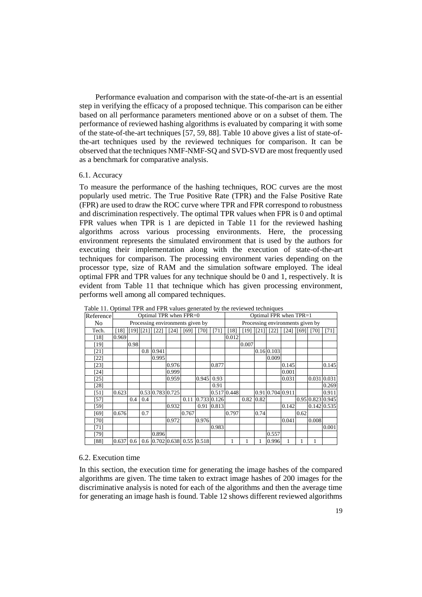Performance evaluation and comparison with the state-of-the-art is an essential step in verifying the efficacy of a proposed technique. This comparison can be either based on all performance parameters mentioned above or on a subset of them. The performance of reviewed hashing algorithms is evaluated by comparing it with some of the state-of-the-art techniques [57, 59, 88]. Table 10 above gives a list of state-ofthe-art techniques used by the reviewed techniques for comparison. It can be observed that the techniques NMF-NMF-SQ and SVD-SVD are most frequently used as a benchmark for comparative analysis.

#### 6.1. Accuracy

To measure the performance of the hashing techniques, ROC curves are the most popularly used metric. The True Positive Rate (TPR) and the False Positive Rate (FPR) are used to draw the ROC curve where TPR and FPR correspond to robustness and discrimination respectively. The optimal TPR values when FPR is 0 and optimal FPR values when TPR is 1 are depicted in Table 11 for the reviewed hashing algorithms across various processing environments. Here, the processing environment represents the simulated environment that is used by the authors for executing their implementation along with the execution of state-of-the-art techniques for comparison. The processing environment varies depending on the processor type, size of RAM and the simulation software employed. The ideal optimal FPR and TPR values for any technique should be 0 and 1, respectively. It is evident from Table 11 that technique which has given processing environment, performs well among all compared techniques.

|                | Table 11. Optimal TFR and FFR values generated by the reviewed techniques |                        |     |           |                                  |       |            |             |             |                        |      |                                  |               |      |                          |        |
|----------------|---------------------------------------------------------------------------|------------------------|-----|-----------|----------------------------------|-------|------------|-------------|-------------|------------------------|------|----------------------------------|---------------|------|--------------------------|--------|
| Reference      |                                                                           | Optimal TPR when FPR=0 |     |           |                                  |       |            |             |             | Optimal FPR when TPR=1 |      |                                  |               |      |                          |        |
| N <sub>0</sub> |                                                                           |                        |     |           | Processing environments given by |       |            |             |             |                        |      | Processing environments given by |               |      |                          |        |
| Tech.          | [18]                                                                      | $[19]$ $[21]$          |     | $[22]$    | [24]                             | [69]  | [70]       | [71]        | [18]        | [19]                   |      | $[21]$ $[22]$                    | $[24]$ $[69]$ |      | [70]                     | $[71]$ |
| [18]           | 0.969                                                                     |                        |     |           |                                  |       |            |             | 0.012       |                        |      |                                  |               |      |                          |        |
| [19]           |                                                                           | 0.98                   |     |           |                                  |       |            |             |             | 0.007                  |      |                                  |               |      |                          |        |
| [21]           |                                                                           |                        |     | 0.8 0.941 |                                  |       |            |             |             |                        |      | 0.16 0.103                       |               |      |                          |        |
| [22]           |                                                                           |                        |     | 0.995     |                                  |       |            |             |             |                        |      | 0.009                            |               |      |                          |        |
| [23]           |                                                                           |                        |     |           | 0.976                            |       |            | 0.877       |             |                        |      |                                  | 0.145         |      |                          | 0.145  |
| [24]           |                                                                           |                        |     |           | 0.999                            |       |            |             |             |                        |      |                                  | 0.001         |      |                          |        |
| [25]           |                                                                           |                        |     |           | 0.959                            |       | 0.945 0.93 |             |             |                        |      |                                  | 0.031         |      | 0.031 0.031              |        |
| [28]           |                                                                           |                        |     |           |                                  |       |            | 0.91        |             |                        |      |                                  |               |      |                          | 0.269  |
| [51]           | 0.623                                                                     |                        |     |           | 0.53 0.783 0.725                 |       |            |             | 0.517 0.448 |                        |      | 0.91 0.704 0.911                 |               |      |                          | 0.911  |
| [57]           |                                                                           | 0.4                    | 0.4 |           |                                  | 0.11  |            | 0.733 0.126 |             | 0.82                   | 0.82 |                                  |               |      | $0.95 \, 0.823 \, 0.945$ |        |
| [59]           |                                                                           |                        |     |           | 0.932                            |       |            | 0.91 0.813  |             |                        |      |                                  | 0.142         |      | 0.142 0.535              |        |
| [69]           | 0.676                                                                     |                        | 0.7 |           |                                  | 0.767 |            |             | 0.797       |                        | 0.74 |                                  |               | 0.62 |                          |        |
| [70]           |                                                                           |                        |     |           | 0.972                            |       | 0.976      |             |             |                        |      |                                  | 0.041         |      | 0.008                    |        |
| [71]           |                                                                           |                        |     |           |                                  |       |            | 0.983       |             |                        |      |                                  |               |      |                          | 0.001  |
| $[79]$         |                                                                           |                        |     | 0.896     |                                  |       |            |             |             |                        |      | 0.557                            |               |      |                          |        |
| [88]           | 0.637                                                                     | 0.6                    |     |           | 0.6 0.702 0.638 0.55 0.518       |       |            |             |             |                        |      | 0.996                            |               |      |                          |        |

Table 11. Optimal TPR and FPR values generated by the reviewed techniques

#### 6.2. Execution time

In this section, the execution time for generating the image hashes of the compared algorithms are given. The time taken to extract image hashes of 200 images for the discriminative analysis is noted for each of the algorithms and then the average time for generating an image hash is found. Table 12 shows different reviewed algorithms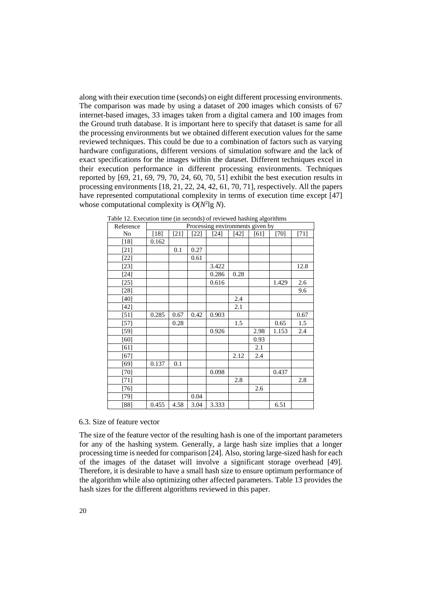along with their execution time (seconds) on eight different processing environments. The comparison was made by using a dataset of 200 images which consists of 67 internet-based images, 33 images taken from a digital camera and 100 images from the Ground truth database. It is important here to specify that dataset is same for all the processing environments but we obtained different execution values for the same reviewed techniques. This could be due to a combination of factors such as varying hardware configurations, different versions of simulation software and the lack of exact specifications for the images within the dataset. Different techniques excel in their execution performance in different processing environments. Techniques reported by [69, 21, 69, 79, 70, 24, 60, 70, 51] exhibit the best execution results in processing environments [18, 21, 22, 24, 42, 61, 70, 71], respectively. All the papers have represented computational complexity in terms of execution time except [47] whose computational complexity is  $O(N^2 \lg N)$ .

| Reference | Processing environments given by |      |                  |       |        |      |        |        |  |
|-----------|----------------------------------|------|------------------|-------|--------|------|--------|--------|--|
| No        | [18]                             | [21] | $[24]$<br>$[22]$ |       | $[42]$ | [61] | $[70]$ | $[71]$ |  |
| $[18]$    | 0.162                            |      |                  |       |        |      |        |        |  |
| $[21]$    |                                  | 0.1  | 0.27             |       |        |      |        |        |  |
| $[22]$    |                                  |      | 0.61             |       |        |      |        |        |  |
| $[23]$    |                                  |      |                  | 3.422 |        |      |        | 12.8   |  |
| $[24]$    |                                  |      |                  | 0.286 | 0.28   |      |        |        |  |
| $[25]$    |                                  |      |                  | 0.616 |        |      | 1.429  | 2.6    |  |
| $[28]$    |                                  |      |                  |       |        |      |        | 9.6    |  |
| $[40]$    |                                  |      |                  |       | 2.4    |      |        |        |  |
| $[42]$    |                                  |      |                  |       | 2.1    |      |        |        |  |
| $[51]$    | 0.285                            | 0.67 | 0.42             | 0.903 |        |      |        | 0.67   |  |
| $[57]$    |                                  | 0.28 |                  |       | 1.5    |      | 0.65   | 1.5    |  |
| $[59]$    |                                  |      |                  | 0.926 |        | 2.98 | 1.153  | 2.4    |  |
| [60]      |                                  |      |                  |       |        | 0.93 |        |        |  |
| [61]      |                                  |      |                  |       |        | 2.1  |        |        |  |
| $[67]$    |                                  |      |                  |       | 2.12   | 2.4  |        |        |  |
| $[69]$    | 0.137                            | 0.1  |                  |       |        |      |        |        |  |
| $[70]$    |                                  |      |                  | 0.098 |        |      | 0.437  |        |  |
| $[71]$    |                                  |      |                  |       | 2.8    |      |        | 2.8    |  |
| [76]      |                                  |      |                  |       |        | 2.6  |        |        |  |
| $[79]$    |                                  |      | 0.04             |       |        |      |        |        |  |
| [88]      | 0.455                            | 4.58 | 3.04             | 3.333 |        |      | 6.51   |        |  |

Table 12. Execution time (in seconds) of reviewed hashing algorithms

#### 6.3. Size of feature vector

The size of the feature vector of the resulting hash is one of the important parameters for any of the hashing system. Generally, a large hash size implies that a longer processing time is needed for comparison [24]. Also, storing large-sized hash for each of the images of the dataset will involve a significant storage overhead [49]. Therefore, it is desirable to have a small hash size to ensure optimum performance of the algorithm while also optimizing other affected parameters. Table 13 provides the hash sizes for the different algorithms reviewed in this paper.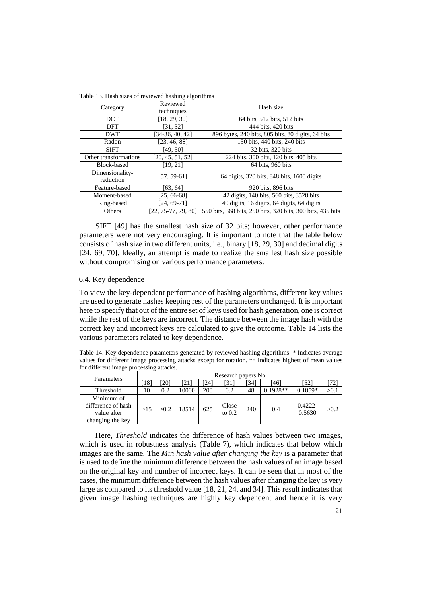| 210 Tot 110011 SHOW OI TO HOW HOWARDS OF CHARLES |                        |                                                            |  |  |  |  |
|--------------------------------------------------|------------------------|------------------------------------------------------------|--|--|--|--|
| Category                                         | Reviewed<br>techniques | Hash size                                                  |  |  |  |  |
| <b>DCT</b>                                       | [18, 29, 30]           | 64 bits, 512 bits, 512 bits                                |  |  |  |  |
| DFT                                              | [31, 32]               | 444 bits, 420 bits                                         |  |  |  |  |
| <b>DWT</b>                                       | [34-36, 40, 42]        | 896 bytes, 240 bits, 805 bits, 80 digits, 64 bits          |  |  |  |  |
| Radon                                            | [23, 46, 88]           | 150 bits, 440 bits, 240 bits                               |  |  |  |  |
| <b>SIFT</b>                                      | [49, 50]               | 32 bits, 320 bits                                          |  |  |  |  |
| Other transformations                            | [20, 45, 51, 52]       | 224 bits, 300 bits, 120 bits, 405 bits                     |  |  |  |  |
| Block-based                                      | [19, 21]               | 64 bits, 960 bits                                          |  |  |  |  |
| Dimensionality-<br>reduction                     | $[57, 59-61]$          | 64 digits, 320 bits, 848 bits, 1600 digits                 |  |  |  |  |
| Feature-based<br>[63, 64]                        |                        | 920 bits, 896 bits                                         |  |  |  |  |
| Moment-based                                     | $[25, 66-68]$          | 42 digits, 140 bits, 560 bits, 3528 bits                   |  |  |  |  |
| Ring-based                                       | $[24, 69-71]$          | 40 digits, 16 digits, 64 digits, 64 digits                 |  |  |  |  |
| Others                                           | $[22, 75-77, 79, 80]$  | 550 bits, 368 bits, 250 bits, 320 bits, 300 bits, 435 bits |  |  |  |  |

Table 13. Hash sizes of reviewed hashing algorithms

SIFT [49] has the smallest hash size of 32 bits; however, other performance parameters were not very encouraging. It is important to note that the table below consists of hash size in two different units, i.e., binary [18, 29, 30] and decimal digits [24, 69, 70]. Ideally, an attempt is made to realize the smallest hash size possible without compromising on various performance parameters.

#### 6.4. Key dependence

To view the key-dependent performance of hashing algorithms, different key values are used to generate hashes keeping rest of the parameters unchanged. It is important here to specify that out of the entire set of keys used for hash generation, one is correct while the rest of the keys are incorrect. The distance between the image hash with the correct key and incorrect keys are calculated to give the outcome. Table 14 lists the various parameters related to key dependence.

Table 14. Key dependence parameters generated by reviewed hashing algorithms. \* Indicates average values for different image processing attacks except for rotation. \*\* Indicates highest of mean values for different image processing attacks.

| Parameters         | Research papers No |      |       |     |                   |      |            |                      |      |
|--------------------|--------------------|------|-------|-----|-------------------|------|------------|----------------------|------|
|                    | [18]               | 201  | 21    | 24  | '31               | [34] | [46]       | [52]                 | [72] |
| <b>Threshold</b>   | 10                 | 0.2  | 10000 | 200 | 0.2               | 48   | $0.1928**$ | $0.1859*$            | >0.1 |
| Minimum of         |                    |      |       |     |                   |      |            |                      |      |
| difference of hash | >15                | >0.2 | 18514 | 625 | Close<br>to $0.2$ | 240  | 0.4        | $0.4222 -$<br>0.5630 | >0.2 |
| value after        |                    |      |       |     |                   |      |            |                      |      |
| changing the key   |                    |      |       |     |                   |      |            |                      |      |

Here, *Threshold* indicates the difference of hash values between two images, which is used in robustness analysis (Table 7), which indicates that below which images are the same. The *Min hash value after changing the key* is a parameter that is used to define the minimum difference between the hash values of an image based on the original key and number of incorrect keys. It can be seen that in most of the cases, the minimum difference between the hash values after changing the key is very large as compared to its threshold value [18, 21, 24, and 34]. This result indicates that given image hashing techniques are highly key dependent and hence it is very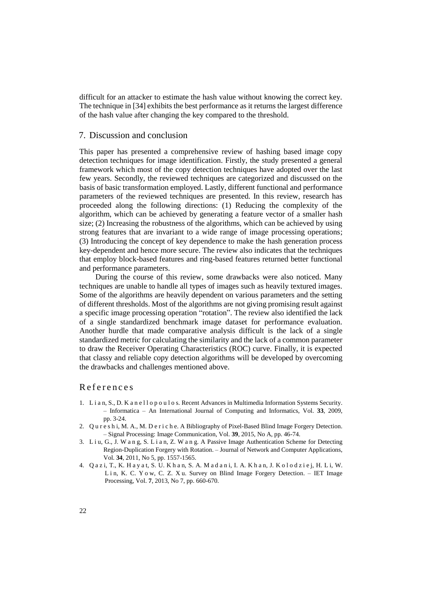difficult for an attacker to estimate the hash value without knowing the correct key. The technique in [34] exhibits the best performance as it returns the largest difference of the hash value after changing the key compared to the threshold.

## 7. Discussion and conclusion

This paper has presented a comprehensive review of hashing based image copy detection techniques for image identification. Firstly, the study presented a general framework which most of the copy detection techniques have adopted over the last few years. Secondly, the reviewed techniques are categorized and discussed on the basis of basic transformation employed. Lastly, different functional and performance parameters of the reviewed techniques are presented. In this review, research has proceeded along the following directions: (1) Reducing the complexity of the algorithm, which can be achieved by generating a feature vector of a smaller hash size; (2) Increasing the robustness of the algorithms, which can be achieved by using strong features that are invariant to a wide range of image processing operations; (3) Introducing the concept of key dependence to make the hash generation process key-dependent and hence more secure. The review also indicates that the techniques that employ block-based features and ring-based features returned better functional and performance parameters.

During the course of this review, some drawbacks were also noticed. Many techniques are unable to handle all types of images such as heavily textured images. Some of the algorithms are heavily dependent on various parameters and the setting of different thresholds. Most of the algorithms are not giving promising result against a specific image processing operation "rotation". The review also identified the lack of a single standardized benchmark image dataset for performance evaluation. Another hurdle that made comparative analysis difficult is the lack of a single standardized metric for calculating the similarity and the lack of a common parameter to draw the Receiver Operating Characteristics (ROC) curve. Finally, it is expected that classy and reliable copy detection algorithms will be developed by overcoming the drawbacks and challenges mentioned above.

## R e f e r e n c e s

- 1. L i a n, S., D. K a n e l l o p o u l o s. Recent Advances in Multimedia Information Systems Security. – Informatica – An International Journal of Computing and Informatics, Vol. **33**, 2009, pp. 3-24.
- 2. Q u r e s h i, M. A., M. D e r i c h e. A Bibliography of Pixel-Based Blind Image Forgery Detection. – Signal Processing: Image Communication, Vol. **39**, 2015, No A, pp. 46-74.
- 3. L i u, G., J. W a n g, S. L i a n, Z. W a n g. A Passive Image Authentication Scheme for Detecting Region-Duplication Forgery with Rotation. – Journal of Network and Computer Applications, Vol. **34**, 2011, No 5, pp. 1557-1565.
- 4. Q a z i, T., K. H a y a t, S. U. K h a n, S. A. M a d a n i, I. A. K h a n, J. K o l o d z i e j, H. L i, W. L i n, K. C. Y o w, C. Z. X u. Survey on Blind Image Forgery Detection. – IET Image Processing, Vol. **7**, 2013, No 7, pp. 660-670.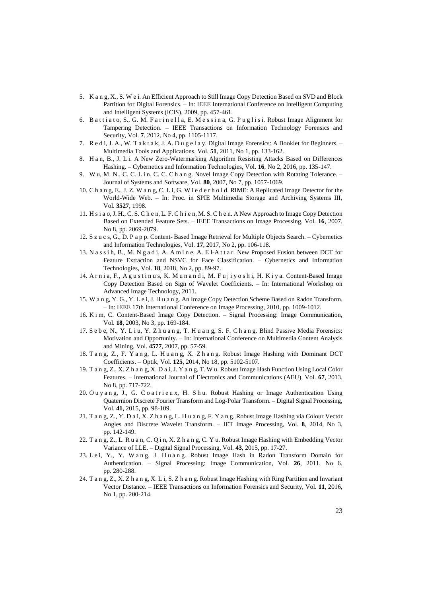- 5. K a n g, X., S. W e i. An Efficient Approach to Still Image Copy Detection Based on SVD and Block Partition for Digital Forensics. – In: IEEE International Conference o[n Intelligent Computing](http://ieeexplore.ieee.org/xpl/mostRecentIssue.jsp?punumber=5351119)  [and Intelligent Systems \(ICIS\), 2](http://ieeexplore.ieee.org/xpl/mostRecentIssue.jsp?punumber=5351119)009, pp. 457-461.
- 6. B a t t i a t o, S., G. M. F a r i n e l l a, E. M e s s i n a, G. P u g l i s i. Robust Image Alignment for Tampering Detection. – IEEE Transactions on Information Technology Forensics and Security, Vol. **7**, 2012, No 4, pp. 1105-1117.
- 7. R e d i, J. A., W. T a k t a k, J. A. D u g e l a y. Digital Image Forensics: A Booklet for Beginners. Multimedia Tools and Applications, Vol. **51**, 2011, No 1, pp. 133-162.
- 8. H a n, B., J. L i. A New Zero-Watermarking Algorithm Resisting Attacks Based on Differences Hashing. – Cybernetics and Information Technologies, Vol. **16**, No 2, 2016, pp. 135-147.
- 9. W u, M. N., C. C. L i n, C. C. C h a n g. Novel Image Copy Detection with Rotating Tolerance. Journal of Systems and Software, Vol. **80**, 2007, No 7, pp. 1057-1069.
- 10. C h a n g, E., J. Z. W a n g, C. L i, G. W i e d e r h o l d. RIME: A Replicated Image Detector for the World-Wide Web. – In: Proc. in SPIE Multimedia Storage and Archiving Systems III, Vol. **3527**, 1998.
- 11. H s i a o, J. H., C. S. C h e n, L. F. C h i e n, M. S. C h e n. A New Approach to Image Copy Detection Based on Extended Feature Sets. – IEEE Transactions on Image Processing, Vol. **16**, 2007, No 8, pp. 2069-2079.
- 12. S z u c s, G., D. P a p p. Content- Based Image Retrieval for Multiple Objects Search. Cybernetics and Information Technologies, Vol. **17**, 2017, No 2, pp. 106-118.
- 13. N a s s i h, B., M. N g a d i, A. A m i n e, A. E l-A t t a r. New Proposed Fusion between DCT for Feature Extraction and NSVC for Face Classification. – Cybernetics and Information Technologies, Vol. **18**, 2018, No 2, pp. 89-97.
- 14. A r n i a, F., A g u s t i n u s, K. M u n a n d i, M. F u j i y o s h i, H. K i y a. Content-Based Image Copy Detection Based on Sign of Wavelet Coefficients. – In: International Workshop on Advanced Image Technology, 2011.
- 15. W a n g, Y. G., Y. L e i, J. H u a n g. An Image Copy Detection Scheme Based on Radon Transform. – In: IEEE 17th International Conference on Image Processing, 2010, pp. 1009-1012.
- 16. K i m, C. Content-Based Image Copy Detection. Signal Processing: Image Communication, Vol. **18**, 2003, No 3, pp. 169-184.
- 17. S e b e, N., Y. L i u, Y. Z h u a n g, T. H u a n g, S. F. C h a n g. Blind Passive Media Forensics: Motivation and Opportunity. – In: International Conference on Multimedia Content Analysis and Mining, Vol. **4577**, 2007, pp. 57-59.
- 18. Tang, Z., F. Yang, L. Huang, X. Zhang. Robust Image Hashing with Dominant DCT Coefficients. – Optik, Vol. **125**, 2014, No 18, pp. 5102-5107.
- 19. T a n g, Z., X. Z h a n g, X. D a i, J. Y a n g, T. W u. Robust Image Hash Function Using Local Color Features. – International Journal of Electronics and Communications (AEU), Vol. **67**, 2013, No 8, pp. 717-722.
- 20. Ou y an g, J., G. Coatrieux, H. Shu. Robust Hashing or Image Authentication Using Quaternion Discrete Fourier Transform and Log-Polar Transform. – Digital Signal Processing, Vol. **41**, 2015, pp. 98-109.
- 21. T a n g, Z., Y. D a i, X. Z h a n g, L. H u a n g, F. Y a n g. Robust Image Hashing via Colour Vector Angles and Discrete Wavelet Transform. – IET Image Processing, Vol. **8**, 2014, No 3, pp. 142-149.
- 22. T a n g, Z., L. R u a n, C. Q i n, X. Z h a n g, C. Y u. Robust Image Hashing with Embedding Vector Variance of LLE. – Digital Signal Processing, Vol. **43**, 2015, pp. 17-27.
- 23. Lei, Y., Y. Wang, J. Huang. Robust Image Hash in Radon Transform Domain for Authentication. – Signal Processing: Image Communication, Vol. **26**, 2011, No 6, pp. 280-288.
- 24. T a n g, Z., X. Z h a n g, X. L i, S. Z h a n g. Robust Image Hashing with Ring Partition and Invariant Vector Distance. – IEEE Transactions on Information Forensics and Security, Vol. **11**, 2016, No 1, pp. 200-214.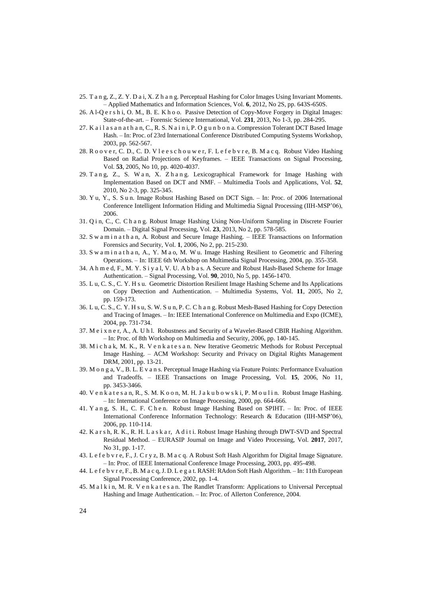- 25. T a n g, Z., Z. Y. D a i, X. Z h a n g. Perceptual Hashing for Color Images Using Invariant Moments. – Applied Mathematics and Information Sciences, Vol. **6**, 2012, No 2S, pp. 643S-650S.
- 26. A l-Q e r s h i, O. M., B. E. K h o o. Passive Detection of Copy-Move Forgery in Digital Images: State-of-the-art. – Forensic Science International, Vol. **231**, 2013, No 1-3, pp. 284-295.
- 27. K a i l a s a n a t h a n, C., R. S. N a i n i, P. O g u n b o n a. Compression Tolerant DCT Based Image Hash. – In: Proc. of 23rd International Conference Distributed Computing Systems Workshop, 2003, pp. 562-567.
- 28. R o o v e r, C. D., C. D. V l e e s c h o u w e r, F. L e f e b v r e, B. M a c q. Robust Video Hashing Based on Radial Projections of Keyframes. – IEEE Transactions on Signal Processing, Vol. **53**, 2005, No 10, pp. 4020-4037.
- 29. T a n g, Z., S. W a n, X. Z h a n g. Lexicographical Framework for Image Hashing with Implementation Based on DCT and NMF. – Multimedia Tools and Applications, Vol. **52**, 2010, No 2-3, pp. 325-345.
- 30. Y u, Y., S. S u n. Image Robust Hashing Based on DCT Sign. In: Proc. of 2006 International Conference Intelligent Information Hiding and Multimedia Signal Processing (IIH-MSP'06), 2006.
- 31. Q i n, C., C. C h a n g. Robust Image Hashing Using Non-Uniform Sampling in Discrete Fourier Domain. – Digital Signal Processing, Vol. **23**, 2013, No 2, pp. 578-585.
- 32. S w a m i n a t h a n, A. Robust and Secure Image Hashing. IEEE Transactions on Information Forensics and Security, Vol. **1**, 2006, No 2, pp. 215-230.
- 33. S w a m i n a t h a n, A., Y. M a o, M. W u. Image Hashing Resilient to Geometric and Filtering Operations. – In: IEEE 6th Workshop on Multimedia Signal Processing, 2004, pp. 355-358.
- 34. A h m e d, F., M. Y. S i y a l, V. U. A b b a s. A Secure and Robust Hash-Based Scheme for Image Authentication. – Signal Processing, Vol. **90**, 2010, No 5, pp. 1456-1470.
- 35. L u, C. S., C. Y. H s u. Geometric Distortion Resilient Image Hashing Scheme and Its Applications on Copy Detection and Authentication. – Multimedia Systems, Vol. **11**, 2005, No 2, pp. 159-173.
- 36. L u, C. S., C. Y. H s u, S. W. S u n, P. C. C h a n g. Robust Mesh-Based Hashing for Copy Detection and Tracing of Images. – In: IEEE International Conference on Multimedia and Expo (ICME), 2004, pp. 731-734.
- 37. M e i x n e r, A., A. U h l. Robustness and Security of a Wavelet-Based CBIR Hashing Algorithm. – In: Proc. of 8th Workshop on Multimedia and Security, 2006, pp. 140-145.
- 38. M i c h a k, M. K., R. V e n k a t e s a n. New Iterative Geometric Methods for Robust Perceptual Image Hashing. – ACM Workshop: Security and Privacy on Digital Rights Management DRM, 2001, pp. 13-21.
- 39. M o n g a, V., B. L. E v a n s. Perceptual Image Hashing via Feature Points: Performance Evaluation and Tradeoffs. – IEEE Transactions on Image Processing, Vol. **15**, 2006, No 11, pp. 3453-3466.
- 40. V e n k a t e s a n, R., S. M. K o o n, M. H. J a k u b o w s k i, P. M o u l i n. Robust Image Hashing. – In: International Conference on Image Processing, 2000, pp. 664-666.
- 41. Y a n g, S. H., C. F. C h e n. Robust Image Hashing Based on SPIHT. In: Proc. of IEEE International Conference Information Technology: Research & Education (IIH-MSP'06), 2006, pp. 110-114.
- 42. K a r s h, R. K., R. H. L a s k a r, A d i t i. Robust Image Hashing through DWT-SVD and Spectral Residual Method. – EURASIP Journal on Image and Video Processing, Vol. **2017**, 2017, No 31, pp. 1-17.
- 43. L e f e b v r e, F., J. C r y z, B. M a c q. A Robust Soft Hash Algorithm for Digital Image Signature. – In: Proc. of IEEE International Conference Image Processing, 2003, pp. 495-498.
- 44. L e f e b v r e, F., B. M a c q, J. D. L e g a t. RASH: RAdon Soft Hash Algorithm. In: 11th European Signal Processing Conference, 2002, pp. 1-4.
- 45. M a l k i n, M. R. V e n k a t e s a n. The Randlet Transform: Applications to Universal Perceptual Hashing and Image Authentication. – In: Proc. of Allerton Conference, 2004.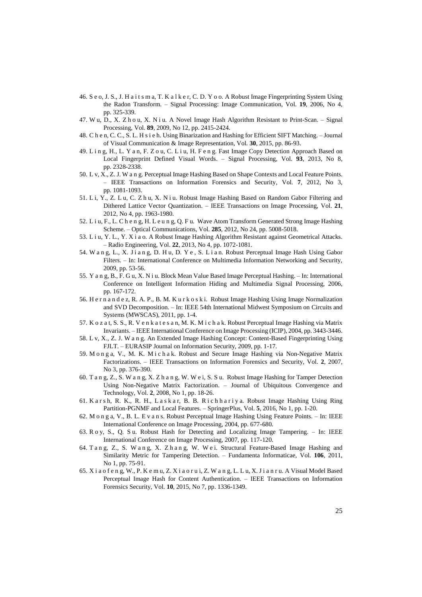- 46. S e o, J. S., J. H a i t s m a, T. K a l k e r, C. D. Y o o. A Robust Image Fingerprinting System Using the Radon Transform. – Signal Processing: Image Communication, Vol. **19**, 2006, No 4, pp. 325-339.
- 47. W u, D., X. Z h o u, X. N i u. A Novel Image Hash Algorithm Resistant to Print-Scan. Signal Processing, Vol. **89**, 2009, No 12, pp. 2415-2424.
- 48. C h e n, C. C., S. L. H s i e h. Using Binarization and Hashing for Efficient SIFT Matching. Journal of Visual Communication & Image Representation, Vol. **30**, 2015, pp. 86-93.
- 49. L i n g, H., L. Y a n, F. Z o u, C. L i u, H. F e n g. Fast Image Copy Detection Approach Based on Local Fingerprint Defined Visual Words. – Signal Processing, Vol. **93**, 2013, No 8, pp. 2328-2338.
- 50. L v, X., Z. J. W a n g. Perceptual Image Hashing Based on Shape Contexts and Local Feature Points. – IEEE Transactions on Information Forensics and Security, Vol. **7**, 2012, No 3, pp. 1081-1093.
- 51. L i, Y., Z. L u, C. Z h u, X. N i u. Robust Image Hashing Based on Random Gabor Filtering and Dithered Lattice Vector Quantization. – IEEE Transactions on Image Processing, Vol. **21**, 2012, No 4, pp. 1963-1980.
- 52. L i u, F., L. C h e n g, H. L e u n g, Q. F u. Wave Atom Transform Generated Strong Image Hashing Scheme. – Optical Communications, Vol. **285**, 2012, No 24, pp. 5008-5018.
- 53. L i u, Y. L., Y. X i a o. A Robust Image Hashing Algorithm Resistant against Geometrical Attacks. – Radio Engineering, Vol. **22**, 2013, No 4, pp. 1072-1081.
- 54. W a n g, L., X. J i a n g, D. H u, D. Y e , S. L i a n. Robust Perceptual Image Hash Using Gabor Filters. – In: International Conference on Multimedia Information Networking and Security, 2009, pp. 53-56.
- 55. Y a n g, B., F. G u, X. N i u. Block Mean Value Based Image Perceptual Hashing. In: International Conference on Intelligent Information Hiding and Multimedia Signal Processing, 2006, pp. 167-172.
- 56. H e r n a n d e z, R. A. P., B. M. K u r k o s k i. Robust Image Hashing Using Image Normalization and SVD Decomposition. – In: IEEE 54t[h International Midwest Symposium on](http://ieeexplore.ieee.org/xpl/mostRecentIssue.jsp?punumber=6019810) Circuits and Systems (MWSCAS), 2011, pp. 1-4.
- 57. K o z a t, S. S., R. V e n k a t e s a n, M. K. M i c h a k. Robust Perceptual Image Hashing via Matrix Invariants. – IEEE International Conference on Image Processing (ICIP), 2004, pp. 3443-3446.
- 58. L v, X., Z. J. W a n g. An Extended Image Hashing Concept: Content-Based Fingerprinting Using FJLT. – EURASIP Journal on Information Security, 2009, pp. 1-17.
- 59. M o n g a, V., M. K. M i c h a k. Robust and Secure Image Hashing via Non-Negative Matrix Factorizations. – IEEE Transactions on Information Forensics and Security, Vol. **2**, 2007, No 3, pp. 376-390.
- 60. T a n g, Z., S. W a n g, X. Z h a n g, W. W e i, S. S u. Robust Image Hashing for Tamper Detection Using Non-Negative Matrix Factorization. – Journal of Ubiquitous Convergence and Technology, Vol. **2**, 2008, No 1, pp. 18-26.
- 61. K a r s h, R. K., R. H., L a s k a r, B. B. R i c h h a r i y a. Robust Image Hashing Using Ring Partition-PGNMF and Local Features. – SpringerPlus, Vol. **5**, 2016, No 1, pp. 1-20.
- 62. M o n g a, V., B. L. E v a n s. Robust Perceptual Image Hashing Using Feature Points. In: IEEE International Conference on Image Processing, 2004, pp. 677-680.
- 63. R o y, S., Q. S u. Robust Hash for Detecting and Localizing Image Tampering. In: IEEE International Conference on Image Processing, 2007, pp. 117-120.
- 64. T a n g, Z., S. W a n g, X. Z h a n g, W. W e i. Structural Feature-Based Image Hashing and Similarity Metric for Tampering Detection. – Fundamenta Informaticae, Vol. **106**, 2011, No 1, pp. 75-91.
- 65. X i a o f e n g, W., P. K e m u, Z. X i a o r u i, Z. W a n g, L. L u, X. J i a n r u. A Visual Model Based Perceptual Image Hash for Content Authentication. – IEEE Transactions on Information Forensics Security, Vol. **10**, 2015, No 7, pp. 1336-1349.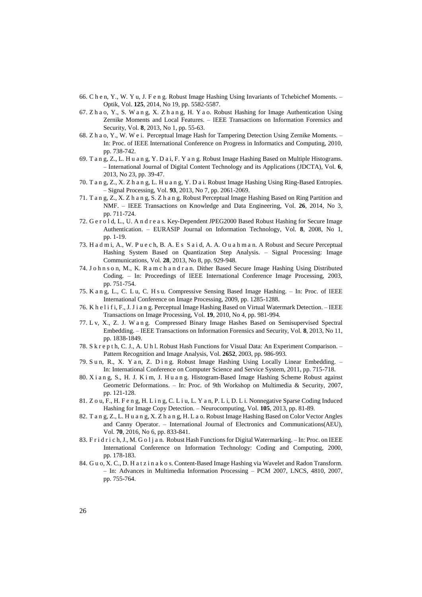- 66. C h e n, Y., W. Y u, J. F e n g. Robust Image Hashing Using Invariants of Tchebichef Moments. Optik, Vol. **125**, 2014, No 19, pp. 5582-5587.
- 67. Z h a o, Y., S. W a n g, X. Z h a n g, H. Y a o. Robust Hashing for Image Authentication Using Zernike Moments and Local Features. – IEEE Transactions on Information Forensics and Security, Vol. **8**, 2013, No 1, pp. 55-63.
- 68. Z h a o, Y., W. W e i. Perceptual Image Hash for Tampering Detection Using Zernike Moments. In: Proc. of IEEE International Conference on Progress in Informatics and Computing, 2010, pp. 738-742.
- 69. T a n g, Z., L. H u a n g, Y. D a i, F. Y a n g. Robust Image Hashing Based on Multiple Histograms. – International Journal of Digital Content Technology and its Applications (JDCTA), Vol. **6**, 2013, No 23, pp. 39-47.
- 70. T a n g, Z., X. Z h a n g, L. H u a n g, Y. D a i. Robust Image Hashing Using Ring-Based Entropies. – Signal Processing, Vol. **93**, 2013, No 7, pp. 2061-2069.
- 71. T a n g, Z., X. Z h a n g, S. Z h a n g. Robust Perceptual Image Hashing Based on Ring Partition and NMF. – IEEE Transactions on Knowledge and Data Engineering, Vol. **26**, 2014, No 3, pp. 711-724.
- 72. G e r o l d, L., U. A n d r e a s. Key-Dependent JPEG2000 Based Robust Hashing for Secure Image Authentication. – EURASIP Journal on Information Technology, Vol. **8**, 2008, No 1, pp. 1-19.
- 73. H a d m i, A., W. P u e c h, B. A. E s S a i d, A. A. O u a h m a n. A Robust and Secure Perceptual Hashing System Based on Quantization Step Analysis. – Signal Processing: Image Communications, Vol. **28**, 2013, No 8, pp. 929-948.
- 74. J o h n s o n, M., K. R a m c h a n d r a n. Dither Based Secure Image Hashing Using Distributed Coding. – In: Proceedings of IEEE International Conference Image Processing, 2003, pp. 751-754.
- 75. K a n g, L., C. L u, C. H s u. Compressive Sensing Based Image Hashing. In: Proc. of IEEE International Conference on Image Processing, 2009, pp. 1285-1288.
- 76. K h e l i f i, F., J. J i a n g. Perceptual Image Hashing Based on Virtual Watermark Detection. IEEE Transactions on Image Processing, Vol. **19**, 2010, No 4, pp. 981-994.
- 77. L v, X., Z. J. W a n g. Compressed Binary Image Hashes Based on Semisupervised Spectral Embedding. – IEEE Transactions on Information Forensics and Security, Vol. **8**, 2013, No 11, pp. 1838-1849.
- 78. S k r e p t h, C. J., A. U h l. Robust Hash Functions for Visual Data: An Experiment Comparison. Pattern Recognition and Image Analysis, Vol. **2652**, 2003, pp. 986-993.
- 79. S u n, R., X. Y a n, Z. D i n g. Robust Image Hashing Using Locally Linear Embedding. In: International Conference on Computer Science and Service System, 2011, pp. 715-718.
- 80. X i a n g, S., H. J. K i m, J. H u a n g. Histogram-Based Image Hashing Scheme Robust against Geometric Deformations. – In: Proc. of 9th Workshop on Multimedia & Security, 2007, pp. 121-128.
- 81. Z o u, F., H. F e n g, H. Lin g, C. L i u, L. Y a n, P. L i, D. L i. Nonnegative Sparse Coding Induced Hashing for Image Copy Detection. – Neurocomputing, Vol. **105**, 2013, pp. 81-89.
- 82. T a n g, Z., L. H u a n g, X. Z h a n g, H. L a o. Robust Image Hashing Based on Color Vector Angles and Canny Operator. – International Journal of Electronics and Communications(AEU), Vol. **70**, 2016, No 6, pp. 833-841.
- 83. F r i d r i c h, J., M. G o l j a n. Robust Hash Functions for Digital Watermarking. In: Proc. on IEEE International Conference on Information Technology: Coding and Computing, 2000, pp. 178-183.
- 84. G u o, X. C., D. H a t z i n a k o s. Content-Based Image Hashing via Wavelet and Radon Transform. – In: [Advances in Multimedia Information Processing –](https://link.springer.com/book/10.1007/978-3-540-77255-2) PCM 2007, LNCS, 4810, 2007, pp. 755-764.